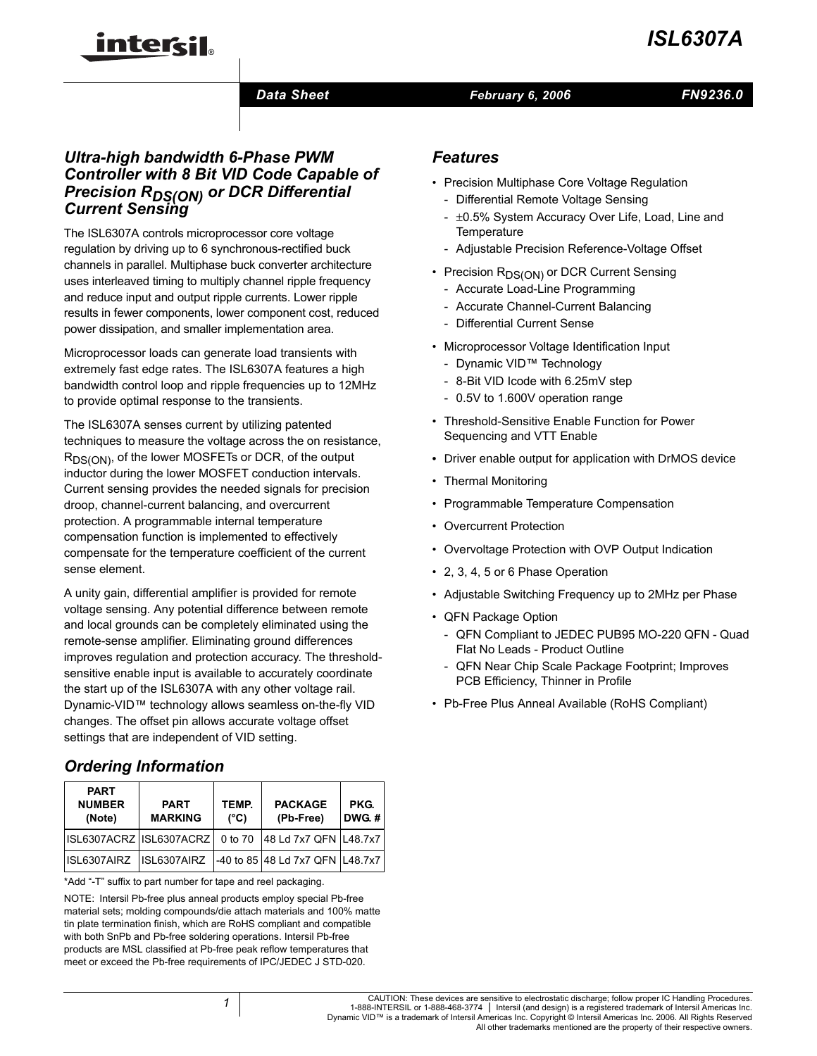# *ISL6307A*

# intersil

### *Data Sheet February 6, 2006*

*FN9236.0*

### *Ultra-high bandwidth 6-Phase PWM Controller with 8 Bit VID Code Capable of Precision RDS(ON) or DCR Differential Current Sensing*

The ISL6307A controls microprocessor core voltage regulation by driving up to 6 synchronous-rectified buck channels in parallel. Multiphase buck converter architecture uses interleaved timing to multiply channel ripple frequency and reduce input and output ripple currents. Lower ripple results in fewer components, lower component cost, reduced power dissipation, and smaller implementation area.

Microprocessor loads can generate load transients with extremely fast edge rates. The ISL6307A features a high bandwidth control loop and ripple frequencies up to 12MHz to provide optimal response to the transients.

The ISL6307A senses current by utilizing patented techniques to measure the voltage across the on resistance, R<sub>DS(ON)</sub>, of the lower MOSFETs or DCR, of the output inductor during the lower MOSFET conduction intervals. Current sensing provides the needed signals for precision droop, channel-current balancing, and overcurrent protection. A programmable internal temperature compensation function is implemented to effectively compensate for the temperature coefficient of the current sense element.

A unity gain, differential amplifier is provided for remote voltage sensing. Any potential difference between remote and local grounds can be completely eliminated using the remote-sense amplifier. Eliminating ground differences improves regulation and protection accuracy. The thresholdsensitive enable input is available to accurately coordinate the start up of the ISL6307A with any other voltage rail. Dynamic-VID™ technology allows seamless on-the-fly VID changes. The offset pin allows accurate voltage offset settings that are independent of VID setting.

## *Ordering Information*

| <b>PART</b><br><b>NUMBER</b><br>(Note) | <b>PART</b><br><b>MARKING</b> | TEMP.<br>$(^{\circ}C)$ | <b>PACKAGE</b><br>(Pb-Free)     | PKG.<br><b>DWG.#</b> |
|----------------------------------------|-------------------------------|------------------------|---------------------------------|----------------------|
|                                        | ISL6307ACRZ ISL6307ACRZ       | 0 to 70                | 48 Ld 7x7 QFN L48.7x7           |                      |
| ISL6307AIRZ                            | ISL6307AIRZ                   |                        | -40 to 85 48 Ld 7x7 QFN L48.7x7 |                      |

\*Add "-T" suffix to part number for tape and reel packaging.

NOTE: Intersil Pb-free plus anneal products employ special Pb-free material sets; molding compounds/die attach materials and 100% matte tin plate termination finish, which are RoHS compliant and compatible with both SnPb and Pb-free soldering operations. Intersil Pb-free products are MSL classified at Pb-free peak reflow temperatures that meet or exceed the Pb-free requirements of IPC/JEDEC J STD-020.

### *Features*

- Precision Multiphase Core Voltage Regulation
	- Differential Remote Voltage Sensing
	- $\pm 0.5\%$  System Accuracy Over Life, Load, Line and **Temperature**
	- Adjustable Precision Reference-Voltage Offset
- Precision R<sub>DS(ON)</sub> or DCR Current Sensing
	- Accurate Load-Line Programming
	- Accurate Channel-Current Balancing
	- Differential Current Sense
- Microprocessor Voltage Identification Input
	- Dynamic VID™ Technology
	- 8-Bit VID Icode with 6.25mV step
	- 0.5V to 1.600V operation range
- Threshold-Sensitive Enable Function for Power Sequencing and VTT Enable
- Driver enable output for application with DrMOS device
- Thermal Monitoring
- Programmable Temperature Compensation
- Overcurrent Protection
- Overvoltage Protection with OVP Output Indication
- 2, 3, 4, 5 or 6 Phase Operation
- Adjustable Switching Frequency up to 2MHz per Phase
- QFN Package Option
	- QFN Compliant to JEDEC PUB95 MO-220 QFN Quad Flat No Leads - Product Outline
	- QFN Near Chip Scale Package Footprint; Improves PCB Efficiency, Thinner in Profile
- Pb-Free Plus Anneal Available (RoHS Compliant)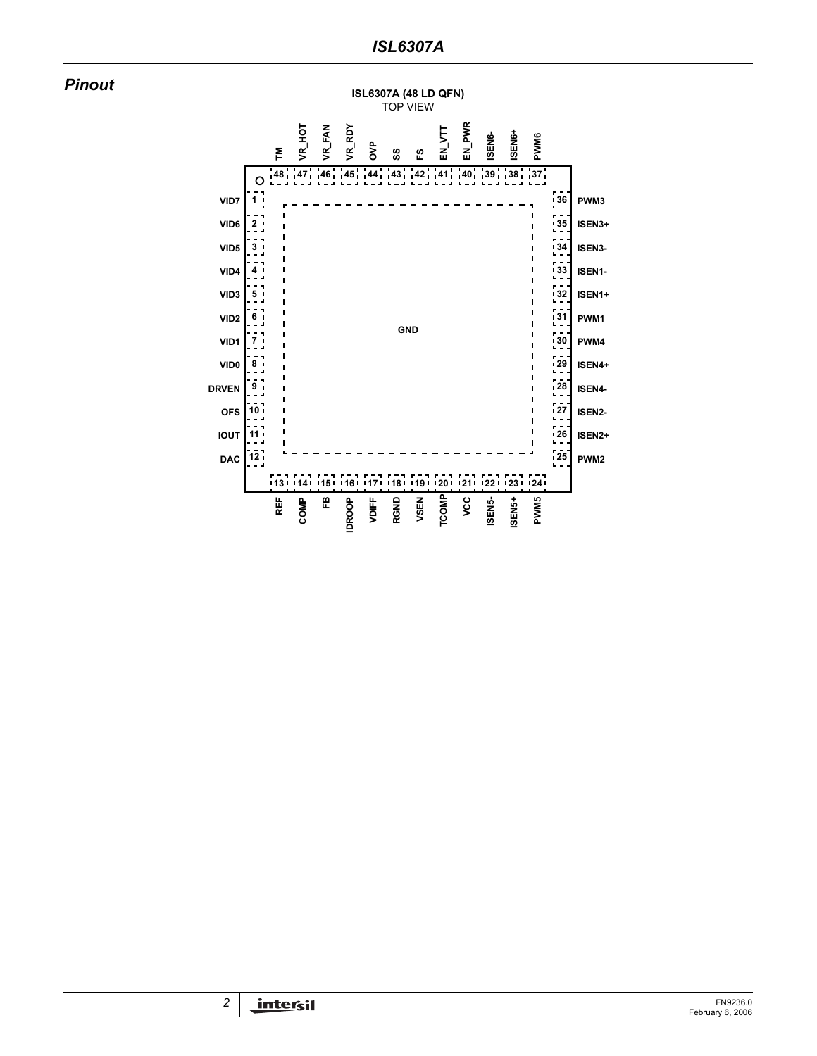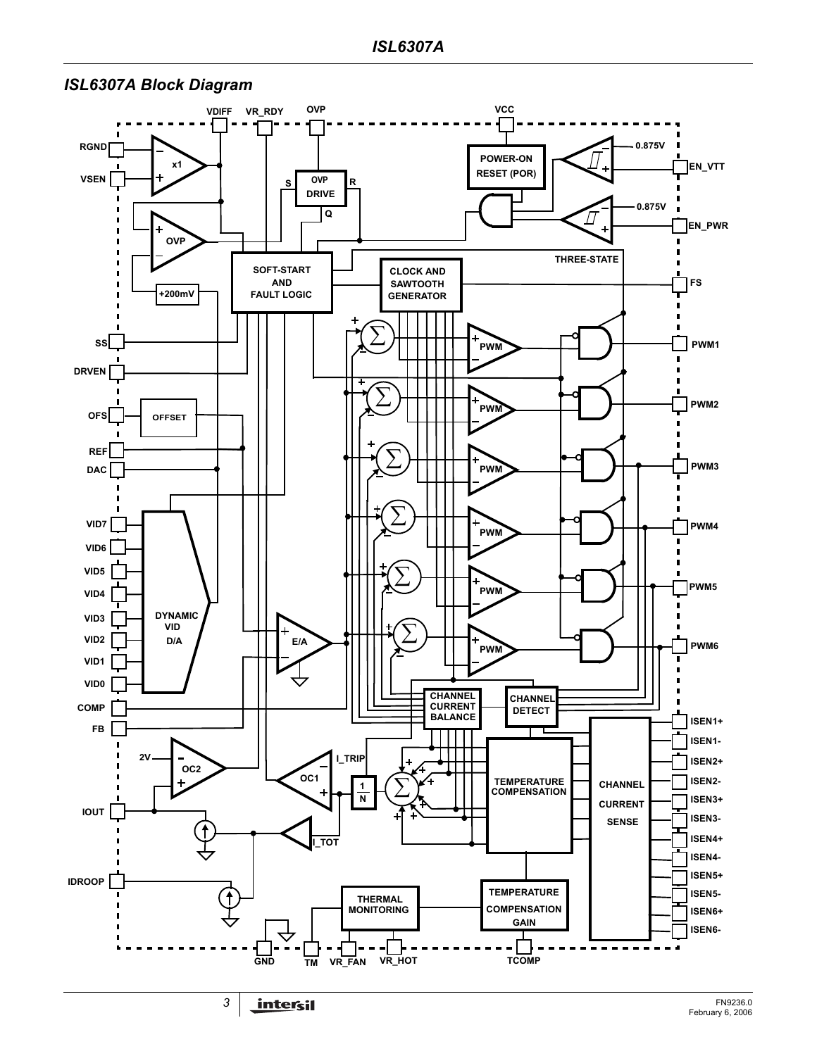### *ISL6307A Block Diagram*

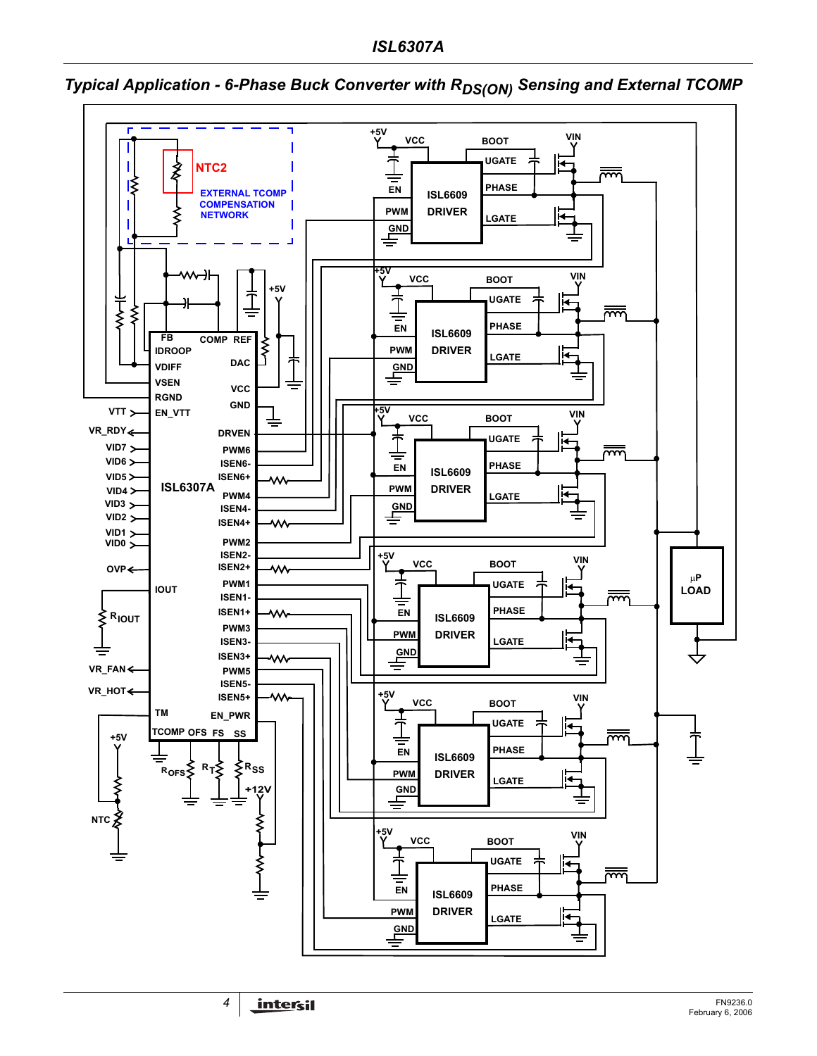

<span id="page-3-0"></span>*Typical Application - 6-Phase Buck Converter with RDS(ON) Sensing and External TCOMP*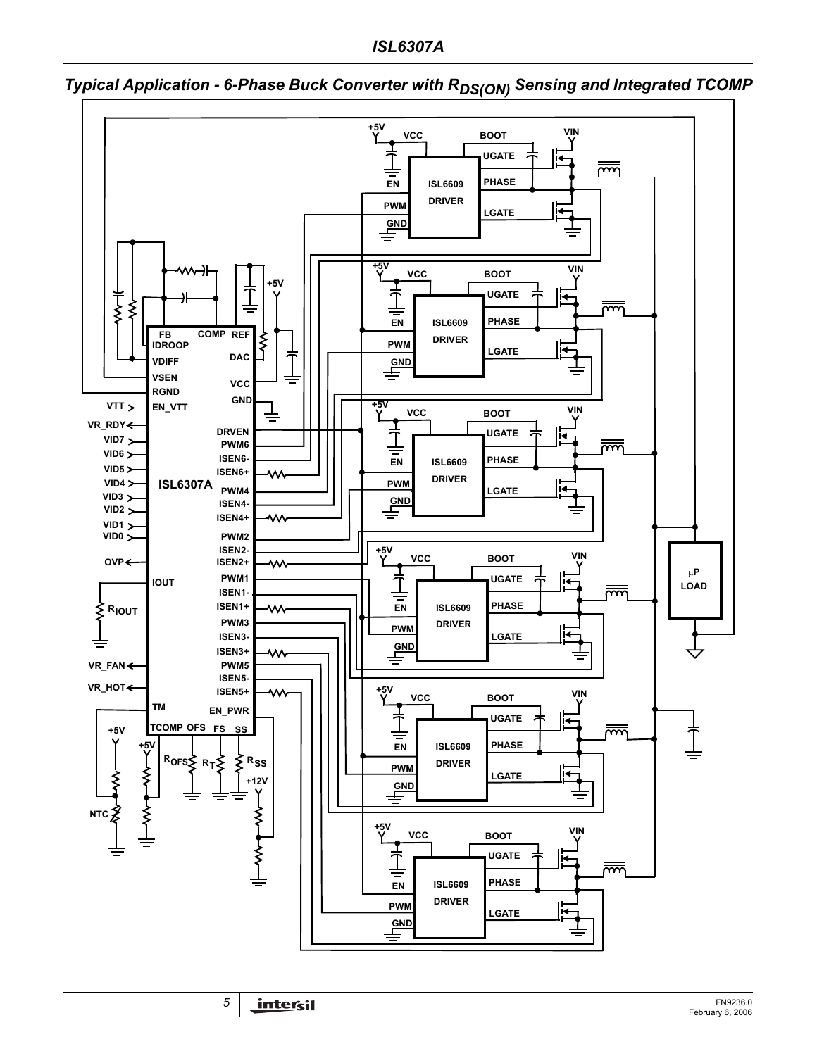*ISL6307A*



<span id="page-4-0"></span>**Typical Application - 6-Phase Buck Converter with R<sub>DS(ON)</sub> Sensing and Integrated TCOMP**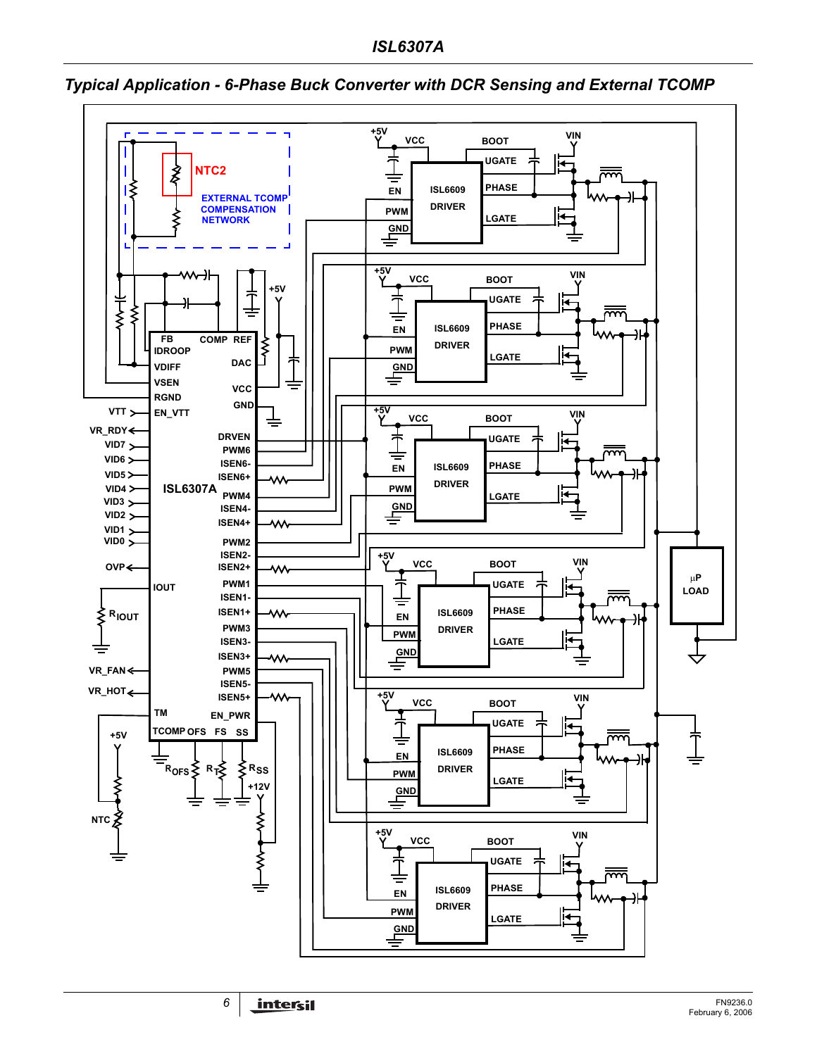

<span id="page-5-0"></span>*Typical Application - 6-Phase Buck Converter with DCR Sensing and External TCOMP*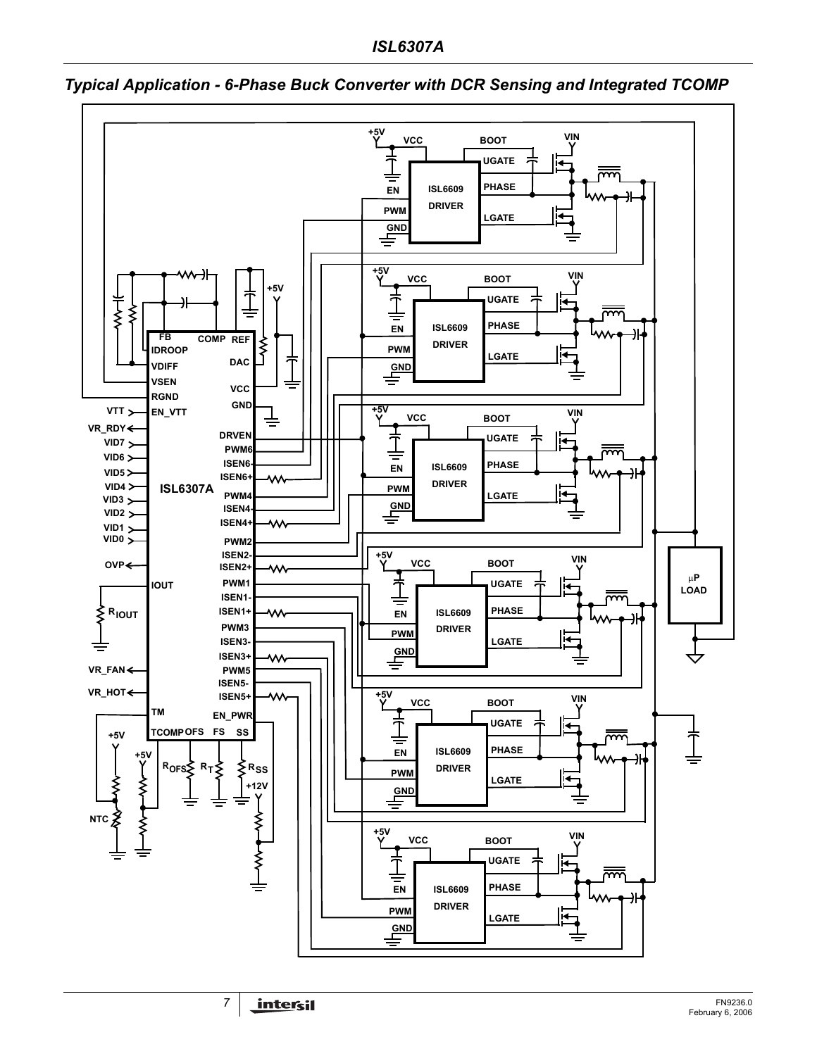

### <span id="page-6-0"></span>*Typical Application - 6-Phase Buck Converter with DCR Sensing and Integrated TCOMP*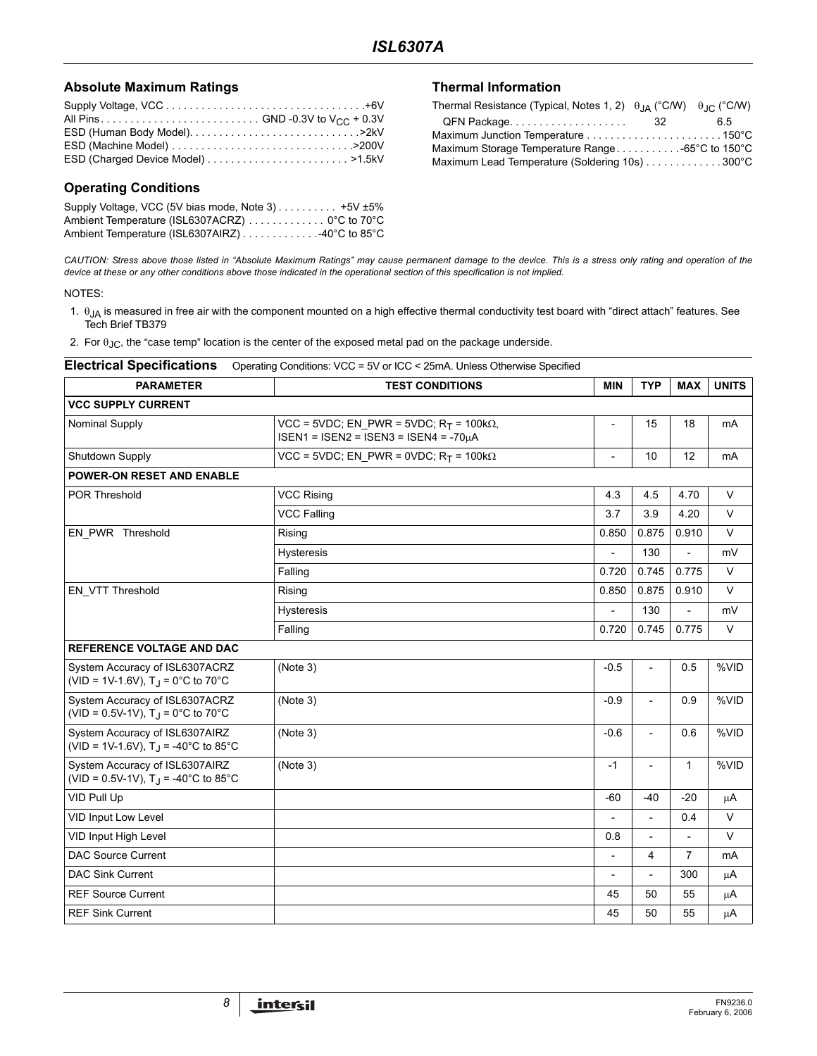### **Absolute Maximum Ratings**

### **Operating Conditions**

Supply Voltage, VCC (5V bias mode, Note 3) . . . . . . . . . . +5V ±5% Ambient Temperature (ISL6307ACRZ) . . . . . . . . . . . . 0°C to 70°C Ambient Temperature (ISL6307AIRZ) . . . . . . . . . . . . . 40°C to 85°C

### **Thermal Information**

| Thermal Resistance (Typical, Notes 1, 2) $\theta_{JA}$ (°C/W) $\theta_{JC}$ (°C/W) |     |    |
|------------------------------------------------------------------------------------|-----|----|
| QFN Package                                                                        | -32 | 65 |
|                                                                                    |     |    |
|                                                                                    |     |    |
| Maximum Lead Temperature (Soldering 10s) 300°C                                     |     |    |

*CAUTION: Stress above those listed in "Absolute Maximum Ratings" may cause permanent damage to the device. This is a stress only rating and operation of the device at these or any other conditions above those indicated in the operational section of this specification is not implied.*

#### NOTES:

1.  $θ_{JA}$  is measured in free air with the component mounted on a high effective thermal conductivity test board with "direct attach" features. See Tech Brief TB379

2. For  $\theta_{JC}$ , the "case temp" location is the center of the exposed metal pad on the package underside.

| <b>PARAMETER</b>                                                               | <b>MIN</b>                                                                                    | <b>TYP</b>     | <b>MAX</b>               | <b>UNITS</b>             |        |
|--------------------------------------------------------------------------------|-----------------------------------------------------------------------------------------------|----------------|--------------------------|--------------------------|--------|
|                                                                                | <b>TEST CONDITIONS</b>                                                                        |                |                          |                          |        |
| <b>VCC SUPPLY CURRENT</b>                                                      |                                                                                               |                |                          |                          |        |
| Nominal Supply                                                                 | VCC = 5VDC; EN PWR = 5VDC; $R_T$ = 100k $\Omega$ ,<br>$ISEN1 = ISEN2 = ISEN3 = ISEN4 = -70uA$ | $\overline{a}$ | 15                       | 18                       | mA     |
| Shutdown Supply                                                                | VCC = 5VDC; EN_PWR = 0VDC; R <sub>T</sub> = 100k $\Omega$                                     |                | 10                       | 12                       | mA     |
| <b>POWER-ON RESET AND ENABLE</b>                                               |                                                                                               |                |                          |                          |        |
| <b>POR Threshold</b>                                                           | <b>VCC Rising</b>                                                                             | 4.3            | 4.5                      | 4.70                     | $\vee$ |
|                                                                                | <b>VCC Falling</b>                                                                            | 3.7            | 3.9                      | 4.20                     | V      |
| EN_PWR Threshold                                                               | Rising                                                                                        | 0.850          | 0.875                    | 0.910                    | $\vee$ |
|                                                                                | Hysteresis                                                                                    |                | 130                      | $\overline{\phantom{0}}$ | mV     |
|                                                                                | Falling                                                                                       | 0.720          | 0.745                    | 0.775                    | V      |
| EN_VTT Threshold                                                               | Rising                                                                                        | 0.850          | 0.875                    | 0.910                    | $\vee$ |
|                                                                                | <b>Hysteresis</b>                                                                             |                | 130                      | $\overline{\phantom{a}}$ | mV     |
|                                                                                | Falling                                                                                       | 0.720          | 0.745                    | 0.775                    | $\vee$ |
| <b>REFERENCE VOLTAGE AND DAC</b>                                               |                                                                                               |                |                          |                          |        |
| System Accuracy of ISL6307ACRZ<br>(VID = 1V-1.6V), $T_J = 0^\circ C$ to 70°C   | (Note 3)                                                                                      | $-0.5$         | $\overline{a}$           | 0.5                      | %VID   |
| System Accuracy of ISL6307ACRZ<br>(VID = 0.5V-1V), $T_J = 0$ °C to 70°C        | (Note 3)                                                                                      | $-0.9$         | $\overline{\phantom{a}}$ | 0.9                      | %VID   |
| System Accuracy of ISL6307AIRZ<br>(VID = 1V-1.6V), $T_{\rm J}$ = -40°C to 85°C | (Note 3)                                                                                      | $-0.6$         | $\overline{a}$           | 0.6                      | %VID   |
| System Accuracy of ISL6307AIRZ<br>(VID = 0.5V-1V), $T_{\rm J}$ = -40°C to 85°C | (Note 3)                                                                                      | $-1$           | $\overline{\phantom{a}}$ | $\mathbf{1}$             | %VID   |
| VID Pull Up                                                                    |                                                                                               | $-60$          | $-40$                    | $-20$                    | μA     |
| VID Input Low Level                                                            |                                                                                               |                |                          | 0.4                      | $\vee$ |
| VID Input High Level                                                           |                                                                                               | 0.8            | ÷,                       | $\overline{a}$           | $\vee$ |
| <b>DAC Source Current</b>                                                      |                                                                                               | $\overline{a}$ | 4                        | 7                        | mA     |
| <b>DAC Sink Current</b>                                                        |                                                                                               | $\overline{a}$ | L,                       | 300                      | μA     |
| <b>REF Source Current</b>                                                      |                                                                                               | 45             | 50                       | 55                       | μA     |
| <b>REF Sink Current</b>                                                        |                                                                                               | 45             | 50                       | 55                       | μA     |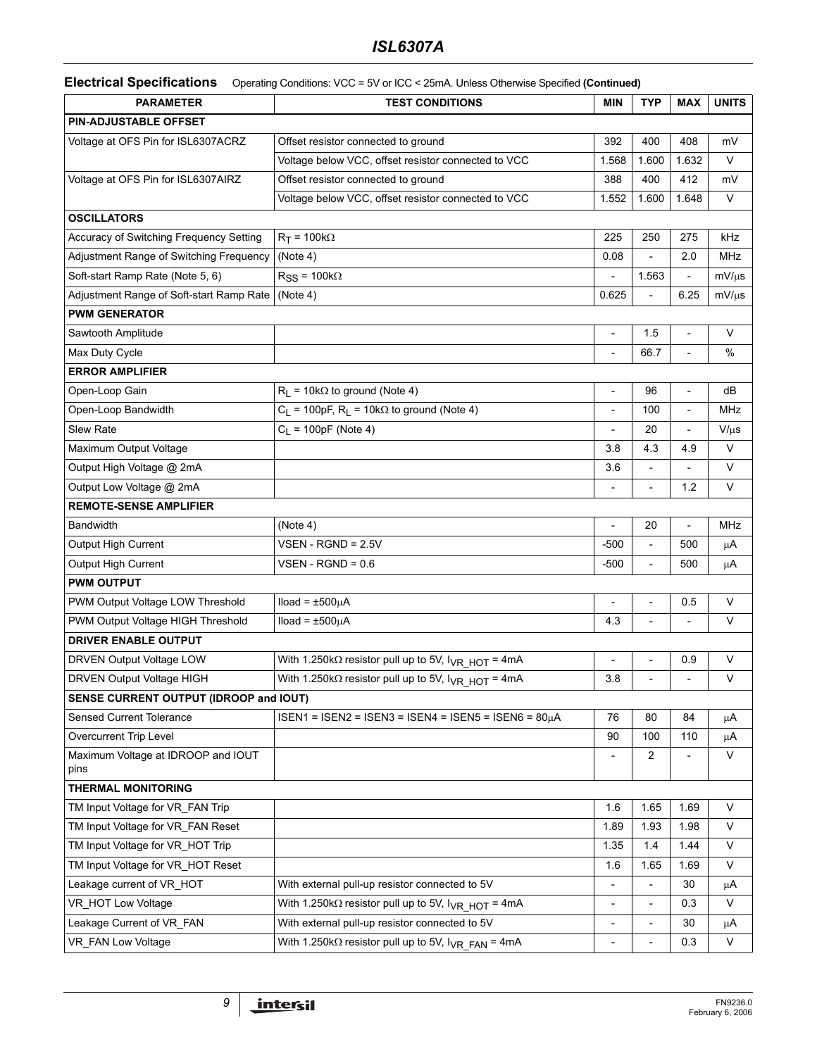### *ISL6307A*

**Electrical Specifications** Operating Conditions: VCC = 5V or ICC < 25mA. Unless Otherwise Specified **(Continued)**

| <b>PARAMETER</b>                           | <b>TEST CONDITIONS</b>                                                         | <b>MIN</b>               | <b>TYP</b>     | <b>MAX</b>               | <b>UNITS</b> |
|--------------------------------------------|--------------------------------------------------------------------------------|--------------------------|----------------|--------------------------|--------------|
| <b>PIN-ADJUSTABLE OFFSET</b>               |                                                                                |                          |                |                          |              |
| Voltage at OFS Pin for ISL6307ACRZ         | Offset resistor connected to ground                                            |                          |                |                          | mV           |
|                                            | Voltage below VCC, offset resistor connected to VCC                            | 1.568                    | 1.600          | 1.632                    | V            |
| Voltage at OFS Pin for ISL6307AIRZ         | Offset resistor connected to ground                                            | 388                      | 400            | 412                      | mV           |
|                                            | Voltage below VCC, offset resistor connected to VCC                            | 1.552                    | 1.600          | 1.648                    | V            |
| <b>OSCILLATORS</b>                         |                                                                                |                          |                |                          |              |
| Accuracy of Switching Frequency Setting    | $R_T = 100k\Omega$                                                             | 225                      | 250            | 275                      | kHz          |
| Adjustment Range of Switching Frequency    | (Note 4)                                                                       | 0.08                     |                | 2.0                      | <b>MHz</b>   |
| Soft-start Ramp Rate (Note 5, 6)           | $R_{SS}$ = 100k $\Omega$                                                       |                          | 1.563          |                          | $mV/\mu s$   |
| Adjustment Range of Soft-start Ramp Rate   | (Note 4)                                                                       | 0.625                    |                | 6.25                     | $mV/\mu s$   |
| <b>PWM GENERATOR</b>                       |                                                                                |                          |                |                          |              |
| Sawtooth Amplitude                         |                                                                                | $\overline{\phantom{a}}$ | 1.5            | $\overline{\phantom{a}}$ | V            |
| Max Duty Cycle                             |                                                                                | $\frac{1}{2}$            | 66.7           | $\overline{a}$           | %            |
| <b>ERROR AMPLIFIER</b>                     |                                                                                |                          |                |                          |              |
| Open-Loop Gain                             | $R_1 = 10k\Omega$ to ground (Note 4)                                           | $\overline{\phantom{a}}$ | 96             | $\overline{a}$           | dВ           |
| Open-Loop Bandwidth                        | $C_1$ = 100pF, R <sub>1</sub> = 10k $\Omega$ to ground (Note 4)                | $\overline{a}$           | 100            |                          | <b>MHz</b>   |
| Slew Rate                                  | $C_1 = 100pF$ (Note 4)                                                         | $\overline{a}$           | 20             |                          | $V/\mu s$    |
| Maximum Output Voltage                     |                                                                                | 3.8                      | 4.3            | 4.9                      | V            |
| Output High Voltage @ 2mA                  |                                                                                | 3.6                      |                |                          | V            |
| Output Low Voltage @ 2mA                   |                                                                                |                          |                | 1.2                      | V            |
| <b>REMOTE-SENSE AMPLIFIER</b>              |                                                                                |                          |                |                          |              |
| <b>Bandwidth</b>                           | (Note 4)                                                                       | $\overline{a}$           | 20             | $\overline{a}$           | MHz          |
| Output High Current                        | $VSEN$ - RGND = 2.5V                                                           | $-500$                   | $\overline{a}$ | 500                      | μA           |
| Output High Current                        | $VSEN$ - RGND = 0.6                                                            | $-500$                   |                | 500                      | μA           |
| <b>PWM OUTPUT</b>                          |                                                                                |                          |                |                          |              |
| PWM Output Voltage LOW Threshold           | $Iload = ±500µA$                                                               |                          |                | 0.5                      | V            |
| PWM Output Voltage HIGH Threshold          | $Iload = ±500µA$                                                               | 4.3                      |                |                          | V            |
| <b>DRIVER ENABLE OUTPUT</b>                |                                                                                |                          |                |                          |              |
| DRVEN Output Voltage LOW                   | With 1.250k $\Omega$ resistor pull up to 5V, $I_{\text{VR\_HOT}}$ = 4mA        | $\overline{a}$           |                | 0.9                      | V            |
| DRVEN Output Voltage HIGH                  | With 1.250k $\Omega$ resistor pull up to 5V, $I_{VR}$ HOT = 4mA                | 3.8                      | $\overline{a}$ |                          | $\vee$       |
| SENSE CURRENT OUTPUT (IDROOP and IOUT)     |                                                                                |                          |                |                          |              |
| Sensed Current Tolerance                   | $ISEN1 = ISEN2 = ISEN3 = ISEN4 = ISEN5 = ISEN6 = 80µA$                         | 76                       | 80             | 84                       | μA           |
| Overcurrent Trip Level                     |                                                                                | 90                       | 100            | 110                      | μA           |
| Maximum Voltage at IDROOP and IOUT<br>pins |                                                                                | $\overline{\phantom{a}}$ | $\overline{2}$ |                          | V            |
| <b>THERMAL MONITORING</b>                  |                                                                                |                          |                |                          |              |
| TM Input Voltage for VR_FAN Trip           |                                                                                | 1.6                      | 1.65           | 1.69                     | V            |
| TM Input Voltage for VR_FAN Reset          |                                                                                | 1.89                     | 1.93           | 1.98                     | V            |
| TM Input Voltage for VR HOT Trip           |                                                                                | 1.35                     | 1.4            | 1.44                     | V            |
| TM Input Voltage for VR_HOT Reset          |                                                                                | 1.6                      | 1.65           | 1.69                     | V            |
| Leakage current of VR_HOT                  | With external pull-up resistor connected to 5V                                 | $\overline{\phantom{a}}$ | $\overline{a}$ | 30                       | μA           |
| VR_HOT Low Voltage                         | With 1.250k $\Omega$ resistor pull up to 5V, $I_{\text{VR HOT}} = 4 \text{mA}$ | $\overline{\phantom{a}}$ | $\overline{a}$ | 0.3                      | V            |
| Leakage Current of VR_FAN                  | With external pull-up resistor connected to 5V                                 | $\overline{a}$           | $\overline{a}$ | 30                       | μA           |
| VR_FAN Low Voltage                         | With 1.250k $\Omega$ resistor pull up to 5V, $I_{\text{VR}}$ FAN = 4mA         | $\overline{a}$           |                | 0.3                      | V            |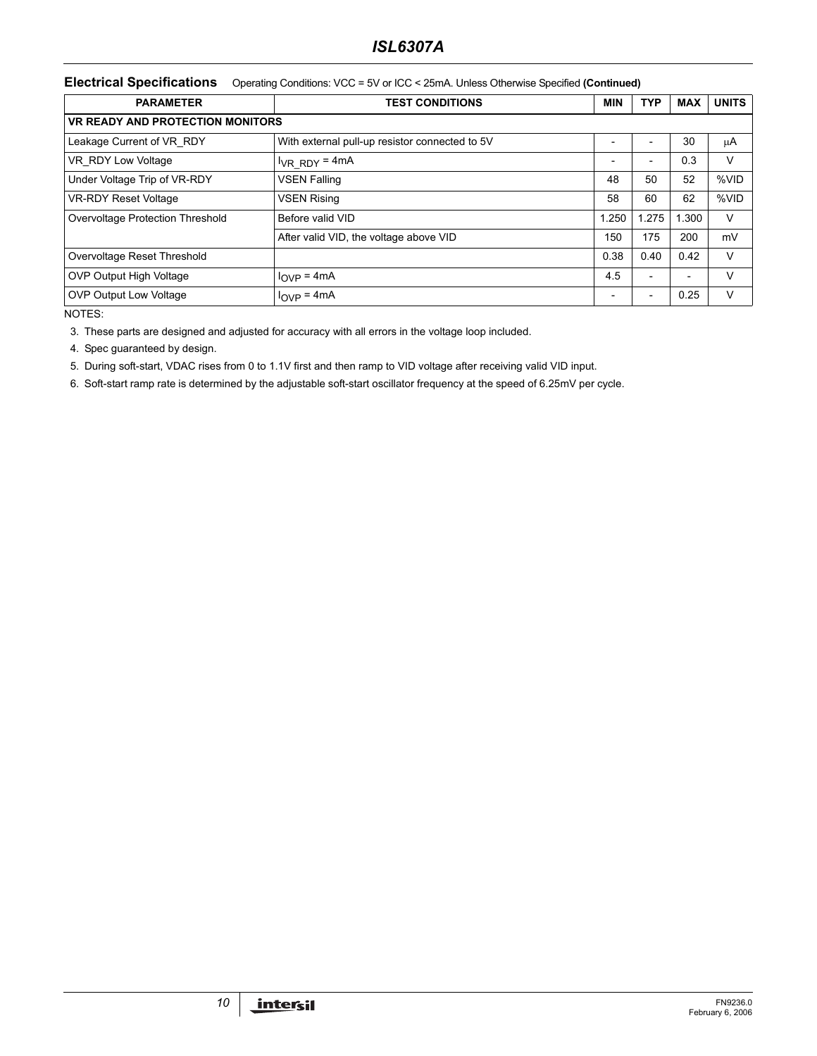### *ISL6307A*

#### **Electrical Specifications** Operating Conditions: VCC = 5V or ICC < 25mA. Unless Otherwise Specified **(Continued)**

| <b>PARAMETER</b>                        | <b>TEST CONDITIONS</b>                         | <b>MIN</b>     | TYP                      | <b>MAX</b>               | <b>UNITS</b> |  |  |  |  |
|-----------------------------------------|------------------------------------------------|----------------|--------------------------|--------------------------|--------------|--|--|--|--|
| <b>VR READY AND PROTECTION MONITORS</b> |                                                |                |                          |                          |              |  |  |  |  |
| Leakage Current of VR_RDY               | With external pull-up resistor connected to 5V |                |                          | 30                       | μA           |  |  |  |  |
| VR RDY Low Voltage                      | $V_{VR}$ RDY = 4mA                             | $\overline{a}$ | $\overline{\phantom{0}}$ | 0.3                      | v            |  |  |  |  |
| Under Voltage Trip of VR-RDY            | <b>VSEN Falling</b>                            | 48             | 50                       | 52                       | %VID         |  |  |  |  |
| <b>VR-RDY Reset Voltage</b>             | <b>VSEN Rising</b>                             | 58             | 60                       | 62                       | %VID         |  |  |  |  |
| Overvoltage Protection Threshold        | Before valid VID                               | 1.250          | 1.275                    | 1.300                    | v            |  |  |  |  |
|                                         | After valid VID, the voltage above VID         | 150            | 175                      | 200                      | mV           |  |  |  |  |
| Overvoltage Reset Threshold             |                                                | 0.38           | 0.40                     | 0.42                     | v            |  |  |  |  |
| <b>OVP Output High Voltage</b>          | $I_{\text{OVP}} = 4 \text{mA}$                 | 4.5            | $\overline{\phantom{0}}$ | $\overline{\phantom{0}}$ | v            |  |  |  |  |
| <b>OVP Output Low Voltage</b>           | $I_{OVP}$ = 4mA                                | $\overline{a}$ |                          | 0.25                     | V            |  |  |  |  |

NOTES:

3. These parts are designed and adjusted for accuracy with all errors in the voltage loop included.

4. Spec guaranteed by design.

5. During soft-start, VDAC rises from 0 to 1.1V first and then ramp to VID voltage after receiving valid VID input.

6. Soft-start ramp rate is determined by the adjustable soft-start oscillator frequency at the speed of 6.25mV per cycle.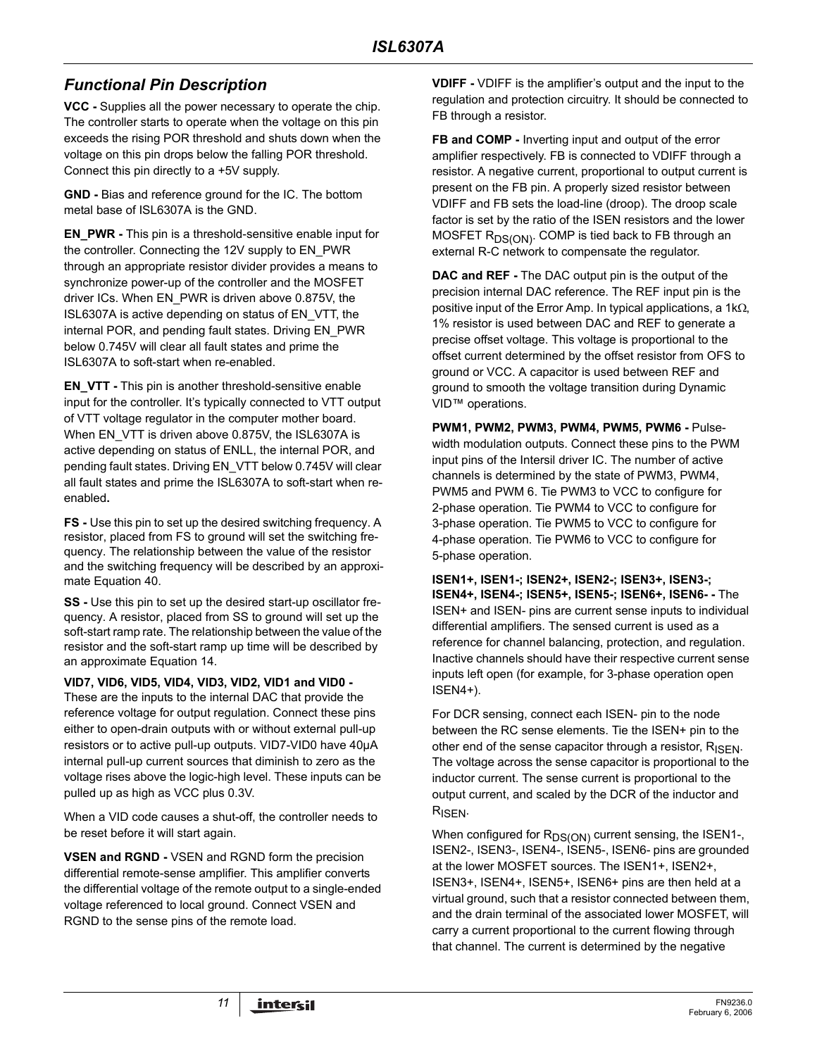### *Functional Pin Description*

**VCC -** Supplies all the power necessary to operate the chip. The controller starts to operate when the voltage on this pin exceeds the rising POR threshold and shuts down when the voltage on this pin drops below the falling POR threshold. Connect this pin directly to a +5V supply.

**GND -** Bias and reference ground for the IC. The bottom metal base of ISL6307A is the GND.

**EN\_PWR -** This pin is a threshold-sensitive enable input for the controller. Connecting the 12V supply to EN\_PWR through an appropriate resistor divider provides a means to synchronize power-up of the controller and the MOSFET driver ICs. When EN\_PWR is driven above 0.875V, the ISL6307A is active depending on status of EN\_VTT, the internal POR, and pending fault states. Driving EN\_PWR below 0.745V will clear all fault states and prime the ISL6307A to soft-start when re-enabled.

**EN\_VTT -** This pin is another threshold-sensitive enable input for the controller. It's typically connected to VTT output of VTT voltage regulator in the computer mother board. When EN\_VTT is driven above 0.875V, the ISL6307A is active depending on status of ENLL, the internal POR, and pending fault states. Driving EN\_VTT below 0.745V will clear all fault states and prime the ISL6307A to soft-start when reenabled**.**

**FS -** Use this pin to set up the desired switching frequency. A resistor, placed from FS to ground will set the switching frequency. The relationship between the value of the resistor and the switching frequency will be described by an approximate Equation 40.

**SS -** Use this pin to set up the desired start-up oscillator frequency. A resistor, placed from SS to ground will set up the soft-start ramp rate. The relationship between the value of the resistor and the soft-start ramp up time will be described by an approximate Equation 14.

**VID7, VID6, VID5, VID4, VID3, VID2, VID1 and VID0 -** 

These are the inputs to the internal DAC that provide the reference voltage for output regulation. Connect these pins either to open-drain outputs with or without external pull-up resistors or to active pull-up outputs. VID7-VID0 have 40µA internal pull-up current sources that diminish to zero as the voltage rises above the logic-high level. These inputs can be pulled up as high as VCC plus 0.3V.

When a VID code causes a shut-off, the controller needs to be reset before it will start again.

**VSEN and RGND -** VSEN and RGND form the precision differential remote-sense amplifier. This amplifier converts the differential voltage of the remote output to a single-ended voltage referenced to local ground. Connect VSEN and RGND to the sense pins of the remote load.

**VDIFF -** VDIFF is the amplifier's output and the input to the regulation and protection circuitry. It should be connected to FB through a resistor.

**FB and COMP -** Inverting input and output of the error amplifier respectively. FB is connected to VDIFF through a resistor. A negative current, proportional to output current is present on the FB pin. A properly sized resistor between VDIFF and FB sets the load-line (droop). The droop scale factor is set by the ratio of the ISEN resistors and the lower MOSFET  $R_{DS(ON)}$ . COMP is tied back to FB through an external R-C network to compensate the regulator.

**DAC and REF -** The DAC output pin is the output of the precision internal DAC reference. The REF input pin is the positive input of the Error Amp. In typical applications, a 1kΩ, 1% resistor is used between DAC and REF to generate a precise offset voltage. This voltage is proportional to the offset current determined by the offset resistor from OFS to ground or VCC. A capacitor is used between REF and ground to smooth the voltage transition during Dynamic VID<sup>™</sup> operations.

**PWM1, PWM2, PWM3, PWM4, PWM5, PWM6 -** Pulsewidth modulation outputs. Connect these pins to the PWM input pins of the Intersil driver IC. The number of active channels is determined by the state of PWM3, PWM4, PWM5 and PWM 6. Tie PWM3 to VCC to configure for 2-phase operation. Tie PWM4 to VCC to configure for 3-phase operation. Tie PWM5 to VCC to configure for 4-phase operation. Tie PWM6 to VCC to configure for 5-phase operation.

**ISEN1+, ISEN1-; ISEN2+, ISEN2-; ISEN3+, ISEN3-; ISEN4+, ISEN4-; ISEN5+, ISEN5-; ISEN6+, ISEN6- -** The ISEN+ and ISEN- pins are current sense inputs to individual differential amplifiers. The sensed current is used as a reference for channel balancing, protection, and regulation. Inactive channels should have their respective current sense inputs left open (for example, for 3-phase operation open ISEN4+).

For DCR sensing, connect each ISEN- pin to the node between the RC sense elements. Tie the ISEN+ pin to the other end of the sense capacitor through a resistor,  $R_{\text{ISEN}}$ . The voltage across the sense capacitor is proportional to the inductor current. The sense current is proportional to the output current, and scaled by the DCR of the inductor and R<sub>ISEN</sub>.

When configured for R<sub>DS(ON)</sub> current sensing, the ISEN1-, ISEN2-, ISEN3-, ISEN4-, ISEN5-, ISEN6- pins are grounded at the lower MOSFET sources. The ISEN1+, ISEN2+, ISEN3+, ISEN4+, ISEN5+, ISEN6+ pins are then held at a virtual ground, such that a resistor connected between them, and the drain terminal of the associated lower MOSFET, will carry a current proportional to the current flowing through that channel. The current is determined by the negative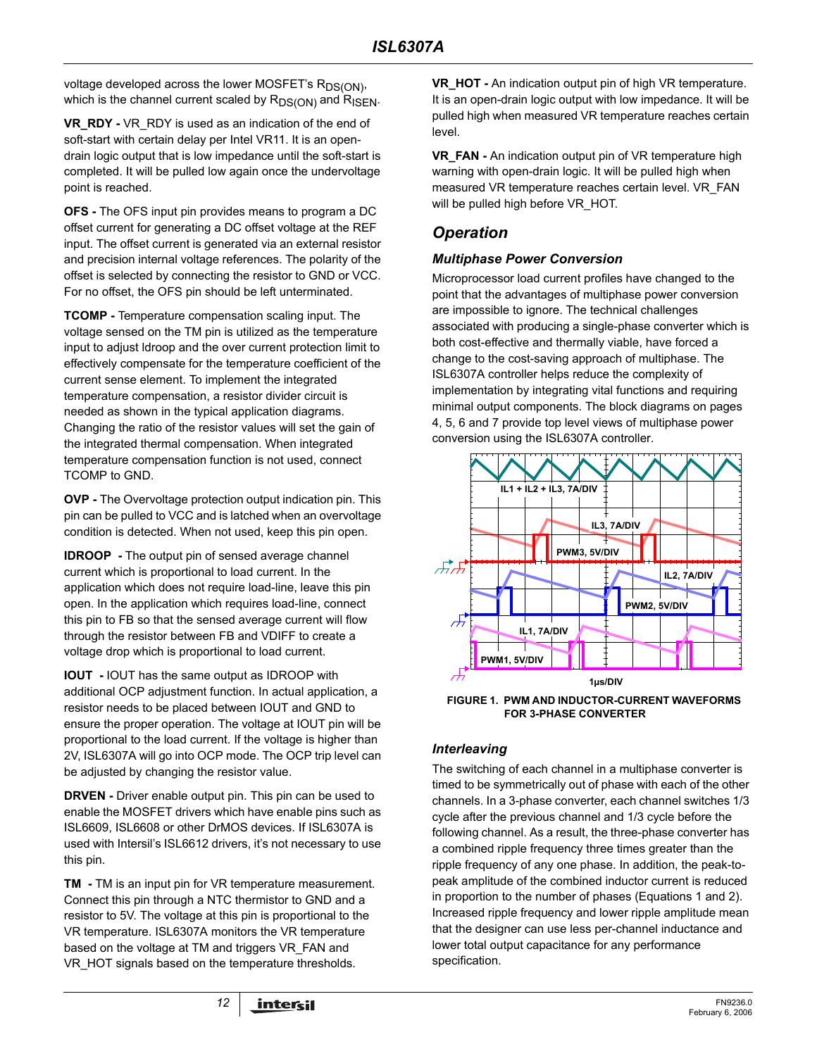voltage developed across the lower MOSFET's R<sub>DS(ON)</sub>, which is the channel current scaled by  $R_{DS(ON)}$  and  $R_{ISEN}$ .

**VR\_RDY -** VR\_RDY is used as an indication of the end of soft-start with certain delay per Intel VR11. It is an opendrain logic output that is low impedance until the soft-start is completed. It will be pulled low again once the undervoltage point is reached.

**OFS -** The OFS input pin provides means to program a DC offset current for generating a DC offset voltage at the REF input. The offset current is generated via an external resistor and precision internal voltage references. The polarity of the offset is selected by connecting the resistor to GND or VCC. For no offset, the OFS pin should be left unterminated.

**TCOMP -** Temperature compensation scaling input. The voltage sensed on the TM pin is utilized as the temperature input to adjust ldroop and the over current protection limit to effectively compensate for the temperature coefficient of the current sense element. To implement the integrated temperature compensation, a resistor divider circuit is needed as shown in the typical application diagrams. Changing the ratio of the resistor values will set the gain of the integrated thermal compensation. When integrated temperature compensation function is not used, connect TCOMP to GND.

**OVP -** The Overvoltage protection output indication pin. This pin can be pulled to VCC and is latched when an overvoltage condition is detected. When not used, keep this pin open.

**IDROOP -** The output pin of sensed average channel current which is proportional to load current. In the application which does not require load-line, leave this pin open. In the application which requires load-line, connect this pin to FB so that the sensed average current will flow through the resistor between FB and VDIFF to create a voltage drop which is proportional to load current.

**IOUT -** IOUT has the same output as IDROOP with additional OCP adjustment function. In actual application, a resistor needs to be placed between IOUT and GND to ensure the proper operation. The voltage at IOUT pin will be proportional to the load current. If the voltage is higher than 2V, ISL6307A will go into OCP mode. The OCP trip level can be adjusted by changing the resistor value.

**DRVEN -** Driver enable output pin. This pin can be used to enable the MOSFET drivers which have enable pins such as ISL6609, ISL6608 or other DrMOS devices. If ISL6307A is used with Intersil's ISL6612 drivers, it's not necessary to use this pin.

**TM -** TM is an input pin for VR temperature measurement. Connect this pin through a NTC thermistor to GND and a resistor to 5V. The voltage at this pin is proportional to the VR temperature. ISL6307A monitors the VR temperature based on the voltage at TM and triggers VR\_FAN and VR HOT signals based on the temperature thresholds.

**VR HOT - An indication output pin of high VR temperature.** It is an open-drain logic output with low impedance. It will be pulled high when measured VR temperature reaches certain level.

**VR\_FAN -** An indication output pin of VR temperature high warning with open-drain logic. It will be pulled high when measured VR temperature reaches certain level. VR\_FAN will be pulled high before VR\_HOT.

### *Operation*

### *Multiphase Power Conversion*

Microprocessor load current profiles have changed to the point that the advantages of multiphase power conversion are impossible to ignore. The technical challenges associated with producing a single-phase converter which is both cost-effective and thermally viable, have forced a change to the cost-saving approach of multiphase. The ISL6307A controller helps reduce the complexity of implementation by integrating vital functions and requiring minimal output components. The block diagrams on pages [4,](#page-3-0) [5,](#page-4-0) [6](#page-5-0) and [7](#page-6-0) provide top level views of multiphase power conversion using the ISL6307A controller.



**FIGURE 1. PWM AND INDUCTOR-CURRENT WAVEFORMS FOR 3-PHASE CONVERTER**

### *Interleaving*

The switching of each channel in a multiphase converter is timed to be symmetrically out of phase with each of the other channels. In a 3-phase converter, each channel switches 1/3 cycle after the previous channel and 1/3 cycle before the following channel. As a result, the three-phase converter has a combined ripple frequency three times greater than the ripple frequency of any one phase. In addition, the peak-topeak amplitude of the combined inductor current is reduced in proportion to the number of phases (Equations 1 and 2). Increased ripple frequency and lower ripple amplitude mean that the designer can use less per-channel inductance and lower total output capacitance for any performance specification.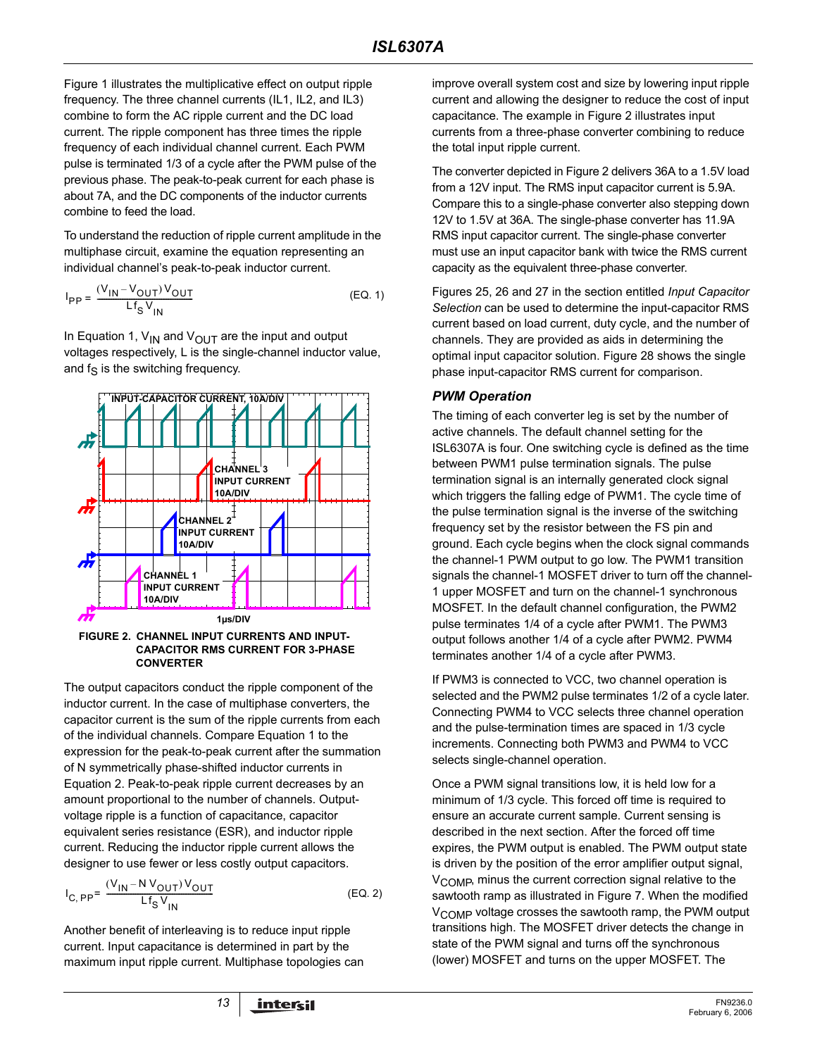Figure 1 illustrates the multiplicative effect on output ripple frequency. The three channel currents (IL1, IL2, and IL3) combine to form the AC ripple current and the DC load current. The ripple component has three times the ripple frequency of each individual channel current. Each PWM pulse is terminated 1/3 of a cycle after the PWM pulse of the previous phase. The peak-to-peak current for each phase is about 7A, and the DC components of the inductor currents combine to feed the load.

To understand the reduction of ripple current amplitude in the multiphase circuit, examine the equation representing an individual channel's peak-to-peak inductor current.

$$
I_{PP} = \frac{(V_{IN} - V_{OUT})V_{OUT}}{Lf_S V_{IN}}
$$
 (EQ. 1)

In Equation 1,  $V_{IN}$  and  $V_{OUT}$  are the input and output voltages respectively, L is the single-channel inductor value, and  $f_S$  is the switching frequency.



**FIGURE 2. CHANNEL INPUT CURRENTS AND INPUT-CAPACITOR RMS CURRENT FOR 3-PHASE CONVERTER**

The output capacitors conduct the ripple component of the inductor current. In the case of multiphase converters, the capacitor current is the sum of the ripple currents from each of the individual channels. Compare Equation 1 to the expression for the peak-to-peak current after the summation of N symmetrically phase-shifted inductor currents in Equation 2. Peak-to-peak ripple current decreases by an amount proportional to the number of channels. Outputvoltage ripple is a function of capacitance, capacitor equivalent series resistance (ESR), and inductor ripple current. Reducing the inductor ripple current allows the designer to use fewer or less costly output capacitors.

$$
I_{C, PP} = \frac{(V_{1N} - NV_{OUT})V_{OUT}}{Lf_S V_{1N}}
$$
 (EQ. 2)

Another benefit of interleaving is to reduce input ripple current. Input capacitance is determined in part by the maximum input ripple current. Multiphase topologies can improve overall system cost and size by lowering input ripple current and allowing the designer to reduce the cost of input capacitance. The example in Figure 2 illustrates input currents from a three-phase converter combining to reduce the total input ripple current.

The converter depicted in Figure 2 delivers 36A to a 1.5V load from a 12V input. The RMS input capacitor current is 5.9A. Compare this to a single-phase converter also stepping down 12V to 1.5V at 36A. The single-phase converter has 11.9A RMS input capacitor current. The single-phase converter must use an input capacitor bank with twice the RMS current capacity as the equivalent three-phase converter.

Figures 25, 26 and 27 in the section entitled *Input Capacitor Selection* can be used to determine the input-capacitor RMS current based on load current, duty cycle, and the number of channels. They are provided as aids in determining the optimal input capacitor solution. Figure 28 shows the single phase input-capacitor RMS current for comparison.

### *PWM Operation*

The timing of each converter leg is set by the number of active channels. The default channel setting for the ISL6307A is four. One switching cycle is defined as the time between PWM1 pulse termination signals. The pulse termination signal is an internally generated clock signal which triggers the falling edge of PWM1. The cycle time of the pulse termination signal is the inverse of the switching frequency set by the resistor between the FS pin and ground. Each cycle begins when the clock signal commands the channel-1 PWM output to go low. The PWM1 transition signals the channel-1 MOSFET driver to turn off the channel-1 upper MOSFET and turn on the channel-1 synchronous MOSFET. In the default channel configuration, the PWM2 pulse terminates 1/4 of a cycle after PWM1. The PWM3 output follows another 1/4 of a cycle after PWM2. PWM4 terminates another 1/4 of a cycle after PWM3.

If PWM3 is connected to VCC, two channel operation is selected and the PWM2 pulse terminates 1/2 of a cycle later. Connecting PWM4 to VCC selects three channel operation and the pulse-termination times are spaced in 1/3 cycle increments. Connecting both PWM3 and PWM4 to VCC selects single-channel operation.

Once a PWM signal transitions low, it is held low for a minimum of 1/3 cycle. This forced off time is required to ensure an accurate current sample. Current sensing is described in the next section. After the forced off time expires, the PWM output is enabled. The PWM output state is driven by the position of the error amplifier output signal, V<sub>COMP</sub>, minus the current correction signal relative to the sawtooth ramp as illustrated in Figure 7. When the modified V<sub>COMP</sub> voltage crosses the sawtooth ramp, the PWM output transitions high. The MOSFET driver detects the change in state of the PWM signal and turns off the synchronous (lower) MOSFET and turns on the upper MOSFET. The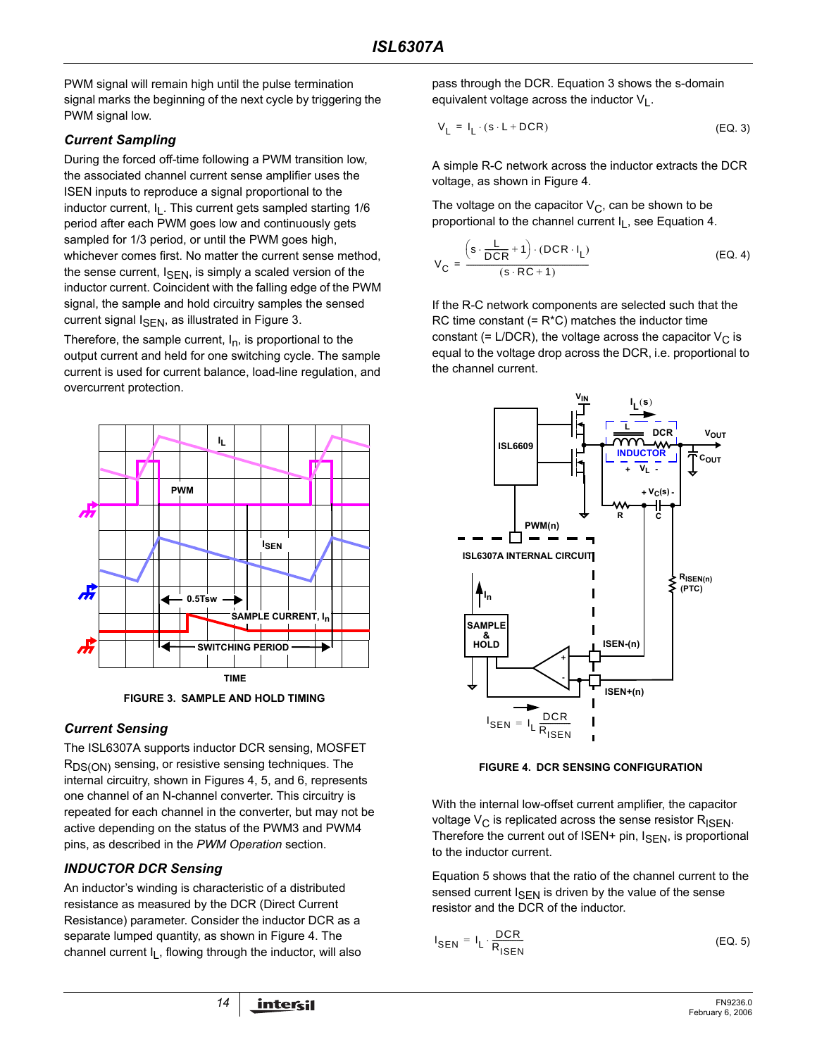PWM signal will remain high until the pulse termination signal marks the beginning of the next cycle by triggering the PWM signal low.

### *Current Sampling*

During the forced off-time following a PWM transition low, the associated channel current sense amplifier uses the ISEN inputs to reproduce a signal proportional to the inductor current, I<sub>L</sub>. This current gets sampled starting 1/6 period after each PWM goes low and continuously gets sampled for 1/3 period, or until the PWM goes high, whichever comes first. No matter the current sense method, the sense current,  $I_{\text{SFN}}$ , is simply a scaled version of the inductor current. Coincident with the falling edge of the PWM signal, the sample and hold circuitry samples the sensed current signal  $I_{\text{SFN}}$ , as illustrated in Figure 3.

Therefore, the sample current,  $I_n$ , is proportional to the output current and held for one switching cycle. The sample current is used for current balance, load-line regulation, and overcurrent protection.



**FIGURE 3. SAMPLE AND HOLD TIMING**

### *Current Sensing*

The ISL6307A supports inductor DCR sensing, MOSFET R<sub>DS(ON)</sub> sensing, or resistive sensing techniques. The internal circuitry, shown in Figures 4, 5, and 6, represents one channel of an N-channel converter. This circuitry is repeated for each channel in the converter, but may not be active depending on the status of the PWM3 and PWM4 pins, as described in the *PWM Operation* section.

### *INDUCTOR DCR Sensing*

An inductor's winding is characteristic of a distributed resistance as measured by the DCR (Direct Current Resistance) parameter. Consider the inductor DCR as a separate lumped quantity, as shown in Figure 4. The channel current I<sub>L</sub>, flowing through the inductor, will also pass through the DCR. Equation 3 shows the s-domain equivalent voltage across the inductor  $V_1$ .

$$
V_{L} = I_{L} \cdot (s \cdot L + DCR) \tag{Eq. 3}
$$

A simple R-C network across the inductor extracts the DCR voltage, as shown in Figure 4.

The voltage on the capacitor  $V_C$ , can be shown to be proportional to the channel current  $I_L$ , see Equation 4.

$$
V_{C} = \frac{\left(s \cdot \frac{L}{DCR} + 1\right) \cdot (DCR \cdot I_{L})}{\left(s \cdot RC + 1\right)}
$$
(EQ.4)

If the R-C network components are selected such that the RC time constant  $(= R<sup>*</sup>C)$  matches the inductor time constant (= L/DCR), the voltage across the capacitor  $V_C$  is equal to the voltage drop across the DCR, i.e. proportional to the channel current.



**FIGURE 4. DCR SENSING CONFIGURATION**

With the internal low-offset current amplifier, the capacitor voltage  $V_C$  is replicated across the sense resistor  $R_{ISEN}$ . Therefore the current out of  $ISEN+$  pin,  $I_{SEN}$ , is proportional to the inductor current.

Equation 5 shows that the ratio of the channel current to the sensed current  $I_{\text{SEN}}$  is driven by the value of the sense resistor and the DCR of the inductor.

$$
I_{\text{SEN}} = I_{\text{L}} \cdot \frac{\text{DCR}}{R_{\text{ISEN}}} \tag{EQ. 5}
$$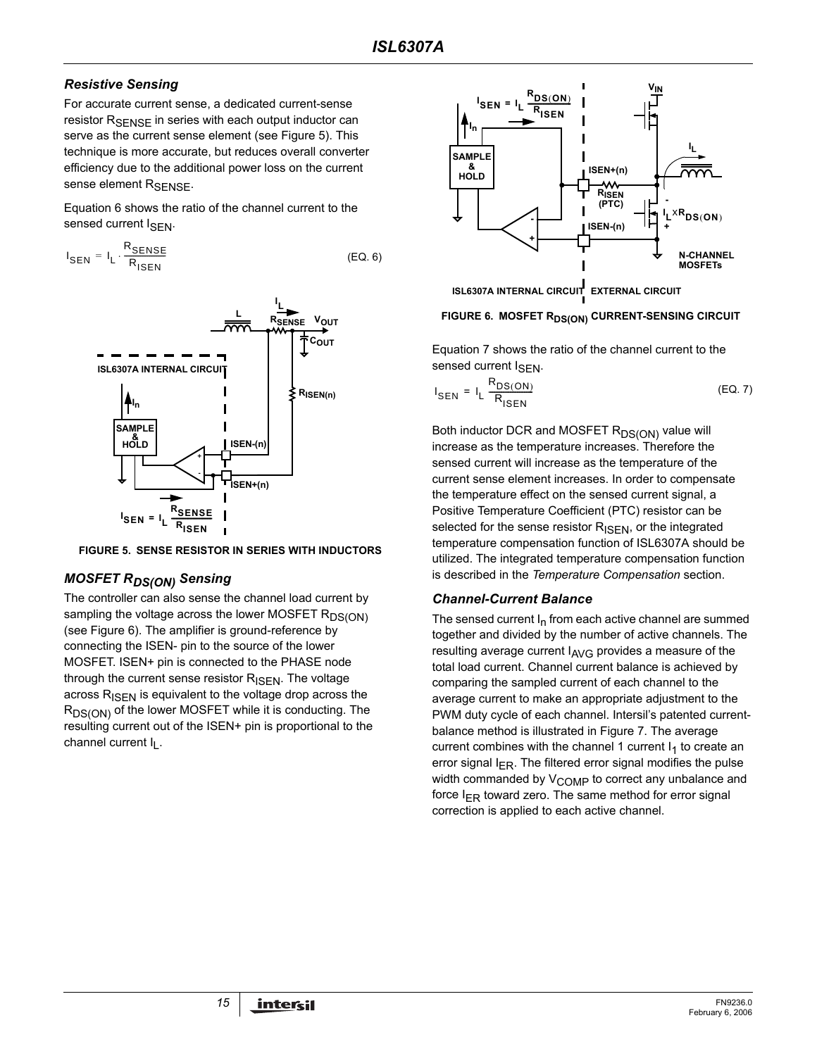### *Resistive Sensing*

For accurate current sense, a dedicated current-sense resistor R<sub>SFNSF</sub> in series with each output inductor can serve as the current sense element (see Figure 5). This technique is more accurate, but reduces overall converter efficiency due to the additional power loss on the current sense element R<sub>SFNSF</sub>.

Equation 6 shows the ratio of the channel current to the sensed current I<sub>SFN</sub>.

$$
I_{\text{SEN}} = I_{L} \cdot \frac{R_{\text{SENSE}}}{R_{\text{ISBN}}}
$$
 (EQ. 6)



**FIGURE 5. SENSE RESISTOR IN SERIES WITH INDUCTORS**

### *MOSFET RDS(ON) Sensing*

The controller can also sense the channel load current by sampling the voltage across the lower MOSFET RDS(ON) (see Figure 6). The amplifier is ground-reference by connecting the ISEN- pin to the source of the lower MOSFET. ISEN+ pin is connected to the PHASE node through the current sense resistor  $R_{\text{ISEN}}$ . The voltage across  $R_{\text{ISEN}}$  is equivalent to the voltage drop across the R<sub>DS(ON)</sub> of the lower MOSFET while it is conducting. The resulting current out of the ISEN+ pin is proportional to the channel current I<sub>I</sub>.



**ISL6307A INTERNAL CIRCUIT EXTERNAL CIRCUIT**

#### **FIGURE 6. MOSFET RDS(ON) CURRENT-SENSING CIRCUIT**

Equation 7 shows the ratio of the channel current to the sensed current I<sub>SFN</sub>.

$$
I_{\text{SEN}} = I_{\text{L}} \frac{R_{\text{DS}(\text{ON})}}{R_{\text{ISEN}}} \tag{Eq. 7}
$$

Both inductor DCR and MOSFET R<sub>DS(ON)</sub> value will increase as the temperature increases. Therefore the sensed current will increase as the temperature of the current sense element increases. In order to compensate the temperature effect on the sensed current signal, a Positive Temperature Coefficient (PTC) resistor can be selected for the sense resistor  $R_{\text{ISFN}}$ , or the integrated temperature compensation function of ISL6307A should be utilized. The integrated temperature compensation function is described in the *Temperature Compensation* section.

### <span id="page-14-0"></span>*Channel-Current Balance*

The sensed current  $I_n$  from each active channel are summed together and divided by the number of active channels. The resulting average current  $I_{AVG}$  provides a measure of the total load current. Channel current balance is achieved by comparing the sampled current of each channel to the average current to make an appropriate adjustment to the PWM duty cycle of each channel. Intersil's patented currentbalance method is illustrated in Figure 7. The average current combines with the channel 1 current  $I_1$  to create an error signal  $I_{FR}$ . The filtered error signal modifies the pulse width commanded by  $V_{\text{COMP}}$  to correct any unbalance and force  $I_{FR}$  toward zero. The same method for error signal correction is applied to each active channel.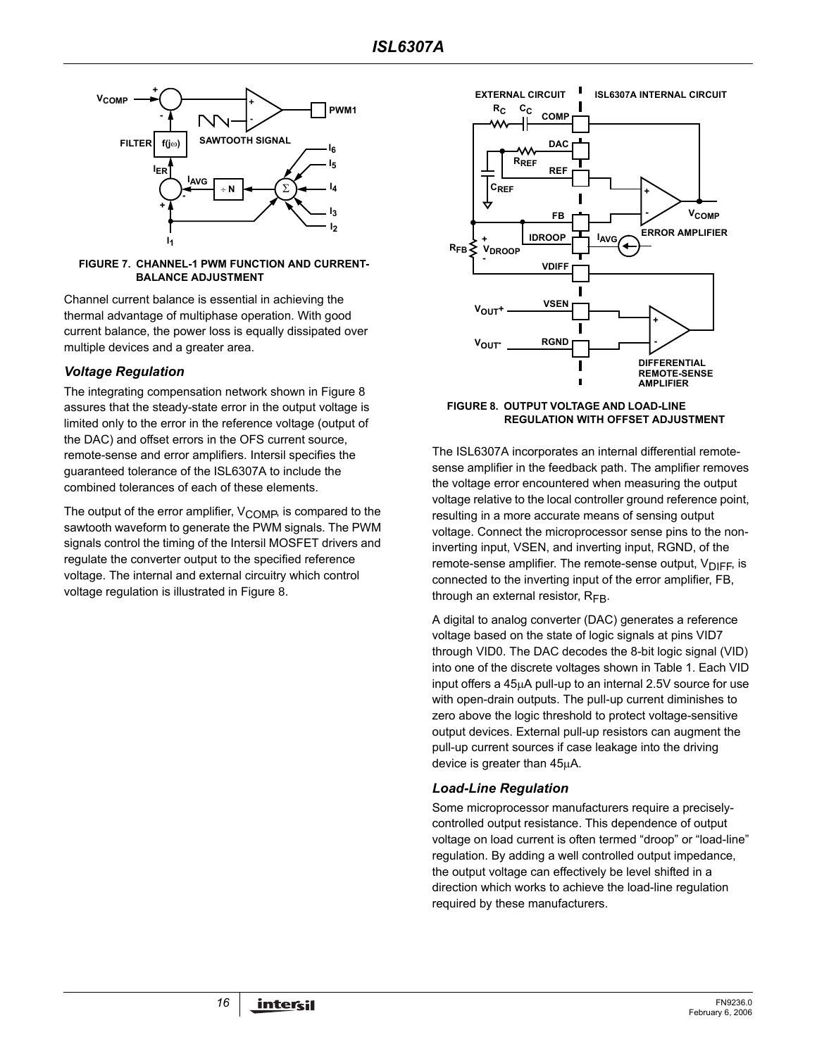

#### <span id="page-15-0"></span>**FIGURE 7. CHANNEL-1 PWM FUNCTION AND CURRENT-BALANCE ADJUSTMENT**

Channel current balance is essential in achieving the thermal advantage of multiphase operation. With good current balance, the power loss is equally dissipated over multiple devices and a greater area.

### *Voltage Regulation*

The integrating compensation network shown in Figure 8 assures that the steady-state error in the output voltage is limited only to the error in the reference voltage (output of the DAC) and offset errors in the OFS current source, remote-sense and error amplifiers. Intersil specifies the guaranteed tolerance of the ISL6307A to include the combined tolerances of each of these elements.

The output of the error amplifier,  $V_{\text{COMP}}$  is compared to the sawtooth waveform to generate the PWM signals. The PWM signals control the timing of the Intersil MOSFET drivers and regulate the converter output to the specified reference voltage. The internal and external circuitry which control voltage regulation is illustrated in Figure 8.



#### **FIGURE 8. OUTPUT VOLTAGE AND LOAD-LINE REGULATION WITH OFFSET ADJUSTMENT**

The ISL6307A incorporates an internal differential remotesense amplifier in the feedback path. The amplifier removes the voltage error encountered when measuring the output voltage relative to the local controller ground reference point, resulting in a more accurate means of sensing output voltage. Connect the microprocessor sense pins to the noninverting input, VSEN, and inverting input, RGND, of the remote-sense amplifier. The remote-sense output,  $V_{\text{DIFF}}$ , is connected to the inverting input of the error amplifier, FB, through an external resistor,  $R_{FB}$ .

A digital to analog converter (DAC) generates a reference voltage based on the state of logic signals at pins VID7 through VID0. The DAC decodes the 8-bit logic signal (VID) into one of the discrete voltages shown in Table 1. Each VID input offers a 45µA pull-up to an internal 2.5V source for use with open-drain outputs. The pull-up current diminishes to zero above the logic threshold to protect voltage-sensitive output devices. External pull-up resistors can augment the pull-up current sources if case leakage into the driving device is greater than 45µA.

### *Load-Line Regulation*

Some microprocessor manufacturers require a preciselycontrolled output resistance. This dependence of output voltage on load current is often termed "droop" or "load-line" regulation. By adding a well controlled output impedance, the output voltage can effectively be level shifted in a direction which works to achieve the load-line regulation required by these manufacturers.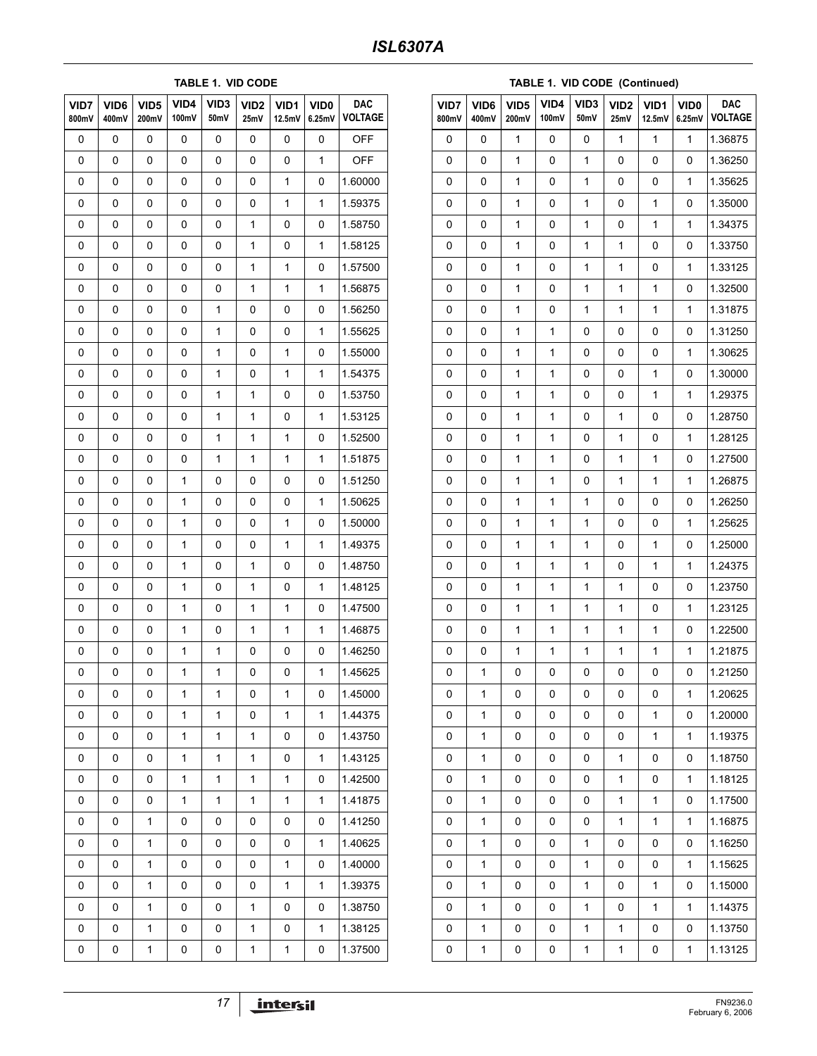### **TABLE 1. VID CODE**

| VID7<br>800mV | VID6<br>400mV | VID <sub>5</sub><br>200mV | VID4<br>100mV | VID <sub>3</sub><br>50mV | VID <sub>2</sub><br>25mV | VID1<br>12.5mV | VID <sub>0</sub><br>6.25mV | <b>DAC</b><br><b>VOLTAGE</b> |
|---------------|---------------|---------------------------|---------------|--------------------------|--------------------------|----------------|----------------------------|------------------------------|
| 0             | 0             | 0                         | 0             | 0                        | 0                        | 0              | 0                          | <b>OFF</b>                   |
| 0             | 0             | 0                         | 0             | 0                        | 0                        | 0              | 1                          | <b>OFF</b>                   |
| 0             | 0             | 0                         | 0             | 0                        | 0                        | 1              | 0                          | 1.60000                      |
| 0             | 0             | 0                         | 0             | 0                        | 0                        | $\mathbf{1}$   | $\mathbf 1$                | 1.59375                      |
| 0             | 0             | 0                         | 0             | 0                        | 1                        | 0              | 0                          | 1.58750                      |
| 0             | 0             | 0                         | 0             | 0                        | 1                        | 0              | 1                          | 1.58125                      |
| 0             | 0             | 0                         | 0             | 0                        | $\mathbf{1}$             | $\mathbf{1}$   | 0                          | 1.57500                      |
| 0             | 0             | 0                         | 0             | 0                        | 1                        | 1              | 1                          | 1.56875                      |
| 0             | 0             | 0                         | 0             | $\mathbf{1}$             | 0                        | 0              | 0                          | 1.56250                      |
| 0             | 0             | 0                         | 0             | $\mathbf{1}$             | 0                        | 0              | $\mathbf 1$                | 1.55625                      |
| 0             | 0             | 0                         | 0             | 1                        | 0                        | 1              | 0                          | 1.55000                      |
| 0             | 0             | 0                         | 0             | $\mathbf{1}$             | 0                        | 1              | 1                          | 1.54375                      |
| 0             | 0             | 0                         | 0             | $\mathbf{1}$             | $\mathbf{1}$             | 0              | 0                          | 1.53750                      |
| 0             | 0             | 0                         | 0             | 1                        | 1                        | 0              | 1                          | 1.53125                      |
| 0             | 0             | 0                         | 0             | $\mathbf{1}$             | 1                        | 1              | 0                          | 1.52500                      |
| 0             | 0             | 0                         | 0             | $\mathbf{1}$             | $\mathbf{1}$             | $\mathbf{1}$   | $\mathbf 1$                | 1.51875                      |
| 0             | 0             | 0                         | 1             | 0                        | 0                        | 0              | 0                          | 1.51250                      |
| 0             | 0             | 0                         | 1             | 0                        | 0                        | 0              | 1                          | 1.50625                      |
| 0             | 0             | 0                         | 1             | 0                        | 0                        | $\mathbf{1}$   | 0                          | 1.50000                      |
| 0             | 0             | 0                         | 1             | 0                        | 0                        | 1              | 1                          | 1.49375                      |
| 0             | 0             | 0                         | 1             | 0                        | 1                        | 0              | 0                          | 1.48750                      |
| 0             | 0             | 0                         | 1             | 0                        | $\mathbf{1}$             | 0              | 1                          | 1.48125                      |
| 0             | 0             | 0                         | 1             | 0                        | 1                        | 1              | 0                          | 1.47500                      |
| 0             | 0             | 0                         | 1             | 0                        | 1                        | 1              | 1                          | 1.46875                      |
| 0             | 0             | 0                         | 1             | $\mathbf{1}$             | 0                        | 0              | 0                          | 1.46250                      |
| 0             | 0             | 0                         | 1             | 1                        | 0                        | 0              | 1                          | 1.45625                      |
| 0             | 0             | 0                         | 1             | 1                        | 0                        | 1              | 0                          | 1.45000                      |
| 0             | 0             | 0                         | 1             | $\mathbf 1$              | 0                        | $\mathbf 1$    | $\mathbf 1$                | 1.44375                      |
| 0             | 0             | 0                         | 1             | 1                        | 1                        | 0              | 0                          | 1.43750                      |
| 0             | 0             | 0                         | 1             | $\mathbf{1}$             | 1                        | 0              | $\mathbf{1}$               | 1.43125                      |
| 0             | 0             | 0                         | 1             | $\mathbf{1}$             | $\mathbf{1}$             | $\mathbf{1}$   | 0                          | 1.42500                      |
| 0             | 0             | 0                         | 1             | 1                        | 1                        | 1              | 1                          | 1.41875                      |
| 0             | 0             | 1                         | 0             | 0                        | 0                        | 0              | 0                          | 1.41250                      |
| 0             | 0             | 1                         | 0             | 0                        | 0                        | 0              | $\mathbf 1$                | 1.40625                      |
| 0             | 0             | 1                         | 0             | 0                        | 0                        | 1              | 0                          | 1.40000                      |
| 0             | 0             | 1                         | 0             | 0                        | 0                        | $\mathbf{1}$   | $\mathbf{1}$               | 1.39375                      |
| 0             | 0             | 1                         | 0             | 0                        | 1                        | 0              | 0                          | 1.38750                      |
| 0             | 0             | 1                         | 0             | 0                        | 1                        | 0              | 1                          | 1.38125                      |
| 0             | 0             | 1                         | 0             | 0                        | $\mathbf 1$              | $\mathbf 1$    | 0                          | 1.37500                      |

| VID7<br>800mV | VID <sub>6</sub><br>400mV | VID <sub>5</sub><br>200mV | VID4<br>100mV | VID <sub>3</sub><br>50mV | VID2<br>25mV | VID1<br>12.5mV | <b>VID0</b><br>6.25mV | <b>DAC</b><br><b>VOLTAGE</b> |
|---------------|---------------------------|---------------------------|---------------|--------------------------|--------------|----------------|-----------------------|------------------------------|
| 0             | 0                         | 1                         | 0             | 0                        | 1            | 1              | 1                     | 1.36875                      |
| 0             | 0                         | 1                         | 0             | 1                        | 0            | 0              | 0                     | 1.36250                      |
| 0             | 0                         | $\mathbf{1}$              | 0             | 1                        | 0            | 0              | 1                     | 1.35625                      |
| 0             | 0                         | 1                         | 0             | 1                        | 0            | 1              | 0                     | 1.35000                      |
| 0             | 0                         | 1                         | 0             | 1                        | 0            | 1              | 1                     | 1.34375                      |
| 0             | 0                         | $\mathbf{1}$              | 0             | 1                        | 1            | 0              | 0                     | 1.33750                      |
| 0             | 0                         | 1                         | 0             | 1                        | 1            | 0              | 1                     | 1.33125                      |
| 0             | 0                         | 1                         | 0             | 1                        | 1            | 1              | 0                     | 1.32500                      |
| 0             | 0                         | $\mathbf{1}$              | 0             | 1                        | 1            | 1              | 1                     | 1.31875                      |
| 0             | 0                         | 1                         | 1             | 0                        | 0            | 0              | 0                     | 1.31250                      |
| 0             | 0                         | 1                         | 1             | 0                        | 0            | 0              | 1                     | 1.30625                      |
| 0             | 0                         | $\mathbf{1}$              | 1             | 0                        | 0            | 1              | 0                     | 1.30000                      |
| 0             | 0                         | 1                         | 1             | 0                        | 0            | 1              | 1                     | 1.29375                      |
| 0             | 0                         | 1                         | 1             | 0                        | 1            | 0              | 0                     | 1.28750                      |
| 0             | 0                         | $\mathbf{1}$              | 1             | 0                        | 1            | 0              | 1                     | 1.28125                      |
| 0             | 0                         | 1                         | 1             | 0                        | 1            | 1              | 0                     | 1.27500                      |
| 0             | 0                         | 1                         | 1             | 0                        | 1            | 1              | 1                     | 1.26875                      |
| 0             | 0                         | $\mathbf{1}$              | 1             | 1                        | 0            | 0              | 0                     | 1.26250                      |
| 0             | 0                         | 1                         | 1             | 1                        | 0            | 0              | 1                     | 1.25625                      |
| 0             | 0                         | 1                         | 1             | 1                        | 0            | 1              | 0                     | 1.25000                      |
| 0             | 0                         | $\mathbf{1}$              | 1             | 1                        | 0            | 1              | 1                     | 1.24375                      |
| 0             | 0                         | 1                         | 1             | 1                        | 1            | 0              | 0                     | 1.23750                      |
| 0             | 0                         | 1                         | 1             | 1                        | 1            | 0              | 1                     | 1.23125                      |
| 0             | 0                         | $\mathbf{1}$              | 1             | 1                        | 1            | 1              | 0                     | 1.22500                      |
| 0             | 0                         | 1                         | 1             | 1                        | 1            | 1              | 1                     | 1.21875                      |
| 0             | $\mathbf 1$               | 0                         | 0             | 0                        | 0            | 0              | 0                     | 1.21250                      |
| 0             | 1                         | 0                         | 0             | 0                        | 0            | 0              | 1                     | 1.20625                      |
| 0             | 1                         | 0                         | 0             | 0                        | 0            | $\mathbf{1}$   | 0                     | 1.20000                      |
| 0             | 1                         | 0                         | 0             | 0                        | 0            | $\mathbf 1$    | 1                     | 1.19375                      |
| 0             | 1                         | 0                         | 0             | 0                        | 1            | 0              | 0                     | 1.18750                      |
| 0             | 1                         | 0                         | 0             | 0                        | 1            | 0              | 1                     | 1.18125                      |
| 0             | 1                         | 0                         | 0             | 0                        | 1            | 1              | 0                     | 1.17500                      |
| 0             | 1                         | 0                         | 0             | 0                        | 1            | 1              | 1                     | 1.16875                      |
| 0             | 1                         | 0                         | 0             | 1                        | 0            | 0              | 0                     | 1.16250                      |
| 0             | 1                         | 0                         | 0             | 1                        | 0            | 0              | $\mathbf{1}$          | 1.15625                      |
| 0             | 1                         | 0                         | 0             | 1                        | 0            | 1              | 0                     | 1.15000                      |
| 0             | 1                         | 0                         | 0             | $\mathbf{1}$             | 0            | 1              | $\mathbf{1}$          | 1.14375                      |
| 0             | 1                         | 0                         | 0             | 1                        | 1            | 0              | 0                     | 1.13750                      |
| 0             | 1                         | 0                         | 0             | 1                        | 1            | 0              | 1                     | 1.13125                      |

17 | intersil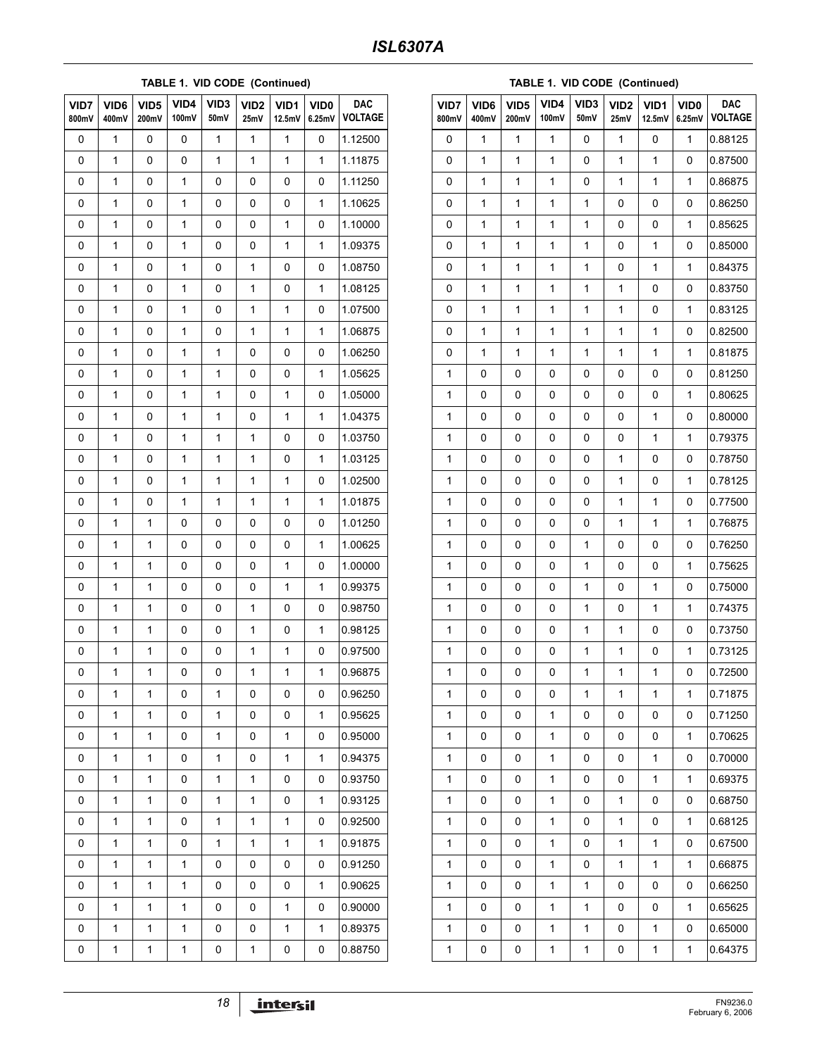#### **TABLE 1. VID CODE (Continued)**

| VID7<br>800mV | VID <sub>6</sub><br>400mV | VID <sub>5</sub><br>200mV | VID4<br>100mV | VID <sub>3</sub><br>50mV | VID <sub>2</sub><br>25mV | VID1<br>12.5mV | VID <sub>0</sub><br>6.25mV | <b>DAC</b><br><b>VOLTAGE</b> |
|---------------|---------------------------|---------------------------|---------------|--------------------------|--------------------------|----------------|----------------------------|------------------------------|
| 0             | $\mathbf{1}$              | 0                         | 0             | $\mathbf{1}$             | 1                        | $\mathbf{1}$   | $\pmb{0}$                  | 1.12500                      |
| 0             | 1                         | 0                         | 0             | 1                        | 1                        | 1              | 1                          | 1.11875                      |
| 0             | 1                         | 0                         | 1             | 0                        | 0                        | 0              | 0                          | 1.11250                      |
| 0             | $\mathbf 1$               | 0                         | $\mathbf 1$   | 0                        | 0                        | 0              | $\mathbf 1$                | 1.10625                      |
| 0             | 1                         | 0                         | 1             | 0                        | 0                        | 1              | 0                          | 1.10000                      |
| 0             | 1                         | 0                         | 1             | 0                        | 0                        | 1              | 1                          | 1.09375                      |
| 0             | $\mathbf 1$               | 0                         | $\mathbf 1$   | 0                        | $\mathbf 1$              | 0              | 0                          | 1.08750                      |
| 0             | 1                         | 0                         | 1             | 0                        | 1                        | 0              | 1                          | 1.08125                      |
| 0             | 1                         | 0                         | 1             | 0                        | 1                        | 1              | 0                          | 1.07500                      |
| 0             | $\mathbf 1$               | 0                         | $\mathbf 1$   | 0                        | $\mathbf 1$              | $\mathbf 1$    | $\mathbf 1$                | 1.06875                      |
| 0             | 1                         | 0                         | 1             | 1                        | 0                        | 0              | 0                          | 1.06250                      |
| 0             | 1                         | 0                         | 1             | $\mathbf{1}$             | 0                        | 0              | 1                          | 1.05625                      |
| 0             | $\mathbf 1$               | 0                         | $\mathbf 1$   | $\mathbf 1$              | 0                        | $\mathbf 1$    | 0                          | 1.05000                      |
| 0             | 1                         | 0                         | 1             | 1                        | 0                        | 1              | 1                          | 1.04375                      |
| 0             | 1                         | 0                         | 1             | $\mathbf{1}$             | 1                        | 0              | 0                          | 1.03750                      |
| 0             | $\mathbf 1$               | 0                         | $\mathbf 1$   | $\mathbf 1$              | $\mathbf 1$              | 0              | 1                          | 1.03125                      |
| 0             | 1                         | 0                         | 1             | 1                        | 1                        | 1              | 0                          | 1.02500                      |
| 0             | 1                         | 0                         | 1             | $\mathbf{1}$             | 1                        | 1              | 1                          | 1.01875                      |
| 0             | $\mathbf 1$               | 1                         | 0             | 0                        | 0                        | 0              | 0                          | 1.01250                      |
| 0             | 1                         | 1                         | 0             | 0                        | 0                        | 0              | 1                          | 1.00625                      |
| 0             | 1                         | 1                         | 0             | 0                        | 0                        | 1              | 0                          | 1.00000                      |
| 0             | $\mathbf 1$               | 1                         | 0             | 0                        | 0                        | $\mathbf 1$    | 1                          | 0.99375                      |
| 0             | 1                         | 1                         | 0             | 0                        | 1                        | 0              | 0                          | 0.98750                      |
| 0             | 1                         | 1                         | 0             | 0                        | 1                        | 0              | 1                          | 0.98125                      |
| 0             | $\mathbf 1$               | 1                         | 0             | 0                        | $\mathbf{1}$             | $\mathbf{1}$   | 0                          | 0.97500                      |
| 0             | 1                         | 1                         | 0             | 0                        | 1                        | 1              | 1                          | 0.96875                      |
| 0             | 1                         | 1                         | 0             | 1                        | 0                        | 0              | 0                          | 0.96250                      |
| 0             | $\mathbf 1$               | 1                         | 0             | 1                        | 0                        | 0              | $\mathbf{1}$               | 0.95625                      |
| 0             | 1                         | 1                         | 0             | 1                        | 0                        | 1              | 0                          | 0.95000                      |
| 0             | 1                         | 1                         | 0             | 1                        | 0                        | $\mathbf{1}$   | $\mathbf{1}$               | 0.94375                      |
| 0             | $\mathbf 1$               | 1                         | 0             | 1                        | 1                        | 0              | 0                          | 0.93750                      |
| 0             | 1                         | 1                         | 0             | 1                        | 1                        | 0              | 1                          | 0.93125                      |
| 0             | 1                         | 1                         | 0             | $\mathbf{1}$             | 1                        | $\mathbf{1}$   | 0                          | 0.92500                      |
| 0             | $\mathbf 1$               | 1                         | 0             | 1                        | $\mathbf{1}$             | $\mathbf 1$    | $\mathbf 1$                | 0.91875                      |
| 0             | 1                         | 1                         | 1             | 0                        | 0                        | 0              | 0                          | 0.91250                      |
| 0             | 1                         | 1                         | 1             | 0                        | 0                        | 0              | $\mathbf{1}$               | 0.90625                      |
| 0             | $\mathbf 1$               | 1                         | 1             | 0                        | 0                        | $\mathbf{1}$   | 0                          | 0.90000                      |
| 0             | 1                         | 1                         | 1             | 0                        | 0                        | 1              | 1                          | 0.89375                      |
| 0             | 1                         | 1                         | $\mathbf 1$   | 0                        | 1                        | 0              | 0                          | 0.88750                      |

#### **TABLE 1. VID CODE (Continued)**

| VID7<br>800mV | VID <sub>6</sub><br>400mV | VID5<br>200mV | VID4<br>100mV | VID <sub>3</sub><br>50mV | VID <sub>2</sub><br>25mV | VID <sub>1</sub><br>12.5mV | VID <sub>0</sub><br>6.25mV | <b>DAC</b><br><b>VOLTAGE</b> |
|---------------|---------------------------|---------------|---------------|--------------------------|--------------------------|----------------------------|----------------------------|------------------------------|
| 0             | 1                         | 1             | 1             | 0                        | 1                        | 0                          | 1                          | 0.88125                      |
| 0             | 1                         | 1             | 1             | 0                        | 1                        | 1                          | 0                          | 0.87500                      |
| 0             | 1                         | 1             | $\mathbf{1}$  | 0                        | 1                        | 1                          | 1                          | 0.86875                      |
| 0             | 1                         | 1             | 1             | 1                        | 0                        | 0                          | 0                          | 0.86250                      |
| 0             | 1                         | 1             | 1             | 1                        | 0                        | 0                          | 1                          | 0.85625                      |
| 0             | 1                         | 1             | $\mathbf{1}$  | 1                        | 0                        | 1                          | 0                          | 0.85000                      |
| 0             | 1                         | 1             | 1             | 1                        | 0                        | 1                          | 1                          | 0.84375                      |
| 0             | 1                         | 1             | 1             | 1                        | 1                        | 0                          | 0                          | 0.83750                      |
| 0             | 1                         | 1             | $\mathbf{1}$  | $\mathbf{1}$             | 1                        | 0                          | 1                          | 0.83125                      |
| 0             | 1                         | 1             | 1             | 1                        | 1                        | 1                          | 0                          | 0.82500                      |
| 0             | 1                         | 1             | 1             | 1                        | 1                        | 1                          | 1                          | 0.81875                      |
| 1             | 0                         | 0             | 0             | 0                        | 0                        | 0                          | 0                          | 0.81250                      |
| 1             | 0                         | 0             | 0             | 0                        | 0                        | 0                          | 1                          | 0.80625                      |
| 1             | 0                         | 0             | 0             | 0                        | 0                        | 1                          | 0                          | 0.80000                      |
| 1             | 0                         | 0             | 0             | 0                        | 0                        | 1                          | 1                          | 0.79375                      |
| 1             | 0                         | 0             | 0             | 0                        | 1                        | 0                          | 0                          | 0.78750                      |
| 1             | 0                         | 0             | 0             | 0                        | 1                        | 0                          | 1                          | 0.78125                      |
| 1             | 0                         | 0             | 0             | 0                        | 1                        | 1                          | 0                          | 0.77500                      |
| 1             | 0                         | 0             | 0             | 0                        | 1                        | 1                          | 1                          | 0.76875                      |
| 1             | 0                         | 0             | 0             | 1                        | 0                        | 0                          | 0                          | 0.76250                      |
| 1             | 0                         | 0             | 0             | $\mathbf{1}$             | 0                        | 0                          | 1                          | 0.75625                      |
| 1             | 0                         | 0             | 0             | 1                        | 0                        | 1                          | 0                          | 0.75000                      |
| 1             | 0                         | 0             | 0             | 1                        | 0                        | 1                          | 1                          | 0.74375                      |
| 1             | 0                         | 0             | 0             | $\mathbf{1}$             | 1                        | 0                          | 0                          | 0.73750                      |
| 1             | 0                         | 0             | 0             | 1                        | 1                        | 0                          | 1                          | 0.73125                      |
| 1             | 0                         | 0             | 0             | 1                        | 1                        | 1                          | 0                          | 0.72500                      |
| 1             | 0                         | 0             | 0             | 1                        | 1                        | 1                          | 1                          | 0.71875                      |
| 1             | 0                         | 0             | 1             | 0                        | 0                        | 0                          | 0                          | 0.71250                      |
| 1             | 0                         | 0             | 1             | 0                        | 0                        | 0                          | 1                          | 0.70625                      |
| 1             | 0                         | 0             | 1             | 0                        | 0                        | $\mathbf{1}$               | 0                          | 0.70000                      |
| 1             | 0                         | 0             | 1             | 0                        | 0                        | 1                          | 1                          | 0.69375                      |
| 1             | 0                         | 0             | 1             | 0                        | 1                        | 0                          | 0                          | 0.68750                      |
| 1             | 0                         | 0             | 1             | 0                        | 1                        | 0                          | 1                          | 0.68125                      |
| 1             | 0                         | 0             | 1             | 0                        | 1                        | 1                          | 0                          | 0.67500                      |
| 1             | 0                         | 0             | 1             | 0                        | 1                        | 1                          | 1                          | 0.66875                      |
| 1             | 0                         | 0             | 1             | 1                        | 0                        | 0                          | 0                          | 0.66250                      |
| 1             | 0                         | 0             | 1             | 1                        | 0                        | 0                          | 1                          | 0.65625                      |
| 1             | 0                         | 0             | 1             | 1                        | 0                        | 1                          | 0                          | 0.65000                      |
| 1             | 0                         | 0             | 1             | 1                        | 0                        | 1                          | 1                          | 0.64375                      |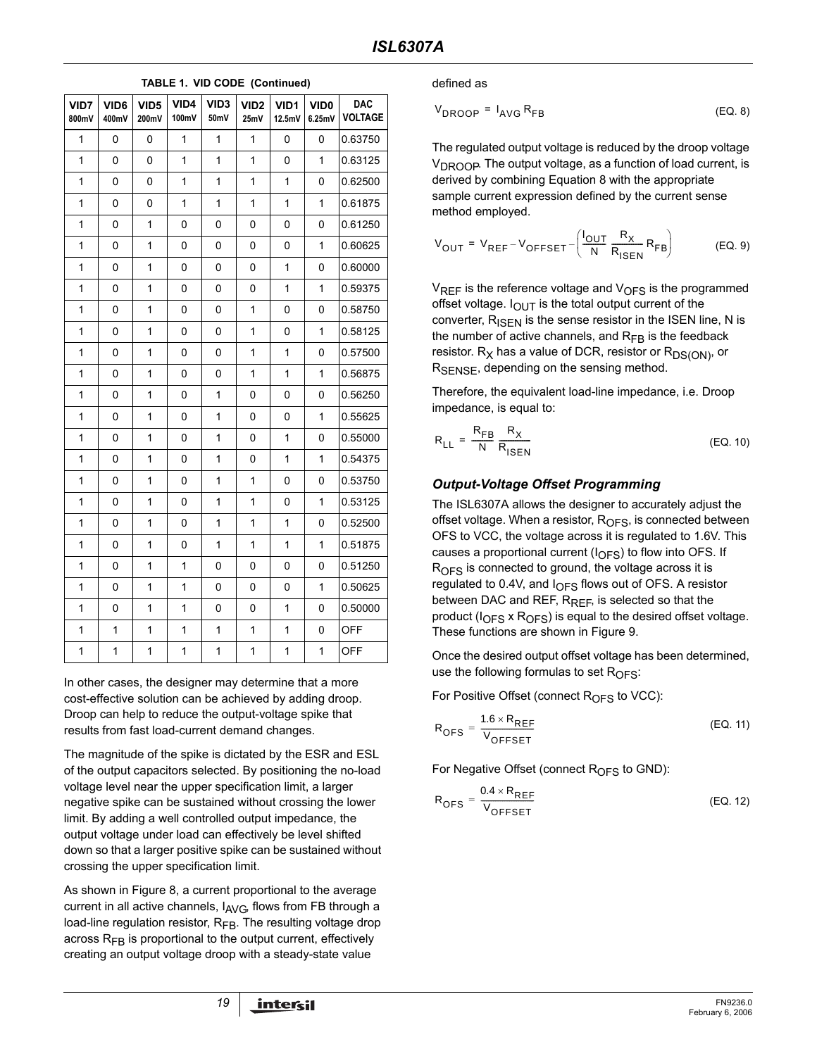| VID7<br>800mV | VID <sub>6</sub><br>400mV | VID <sub>5</sub><br>200mV | VID4<br>100mV | VID <sub>3</sub><br>50mV | VID <sub>2</sub><br>25mV | VID1<br>12.5mV | VID <sub>0</sub><br>6.25mV | <b>DAC</b><br><b>VOLTAGE</b> |
|---------------|---------------------------|---------------------------|---------------|--------------------------|--------------------------|----------------|----------------------------|------------------------------|
| $\mathbf{1}$  | 0                         | 0                         | $\mathbf{1}$  | $\mathbf{1}$             | 1                        | 0              | 0                          | 0.63750                      |
| 1             | $\overline{0}$            | $\overline{0}$            | $\mathbf{1}$  | $\mathbf{1}$             | $\mathbf{1}$             | 0              | 1                          | 0.63125                      |
| $\mathbf{1}$  | 0                         | 0                         | 1             | $\mathbf{1}$             | $\mathbf{1}$             | $\mathbf{1}$   | 0                          | 0.62500                      |
| $\mathbf{1}$  | 0                         | 0                         | 1             | $\mathbf{1}$             | $\mathbf{1}$             | $\mathbf{1}$   | $\mathbf{1}$               | 0.61875                      |
| 1             | 0                         | 1                         | 0             | 0                        | 0                        | 0              | 0                          | 0.61250                      |
| 1             | 0                         | $\mathbf{1}$              | 0             | 0                        | 0                        | 0              | $\mathbf{1}$               | 0.60625                      |
| 1             | $\overline{0}$            | $\mathbf{1}$              | 0             | 0                        | 0                        | $\mathbf{1}$   | 0                          | 0.60000                      |
| 1             | 0                         | 1                         | 0             | 0                        | 0                        | $\mathbf{1}$   | $\mathbf{1}$               | 0.59375                      |
| 1             | 0                         | $\mathbf{1}$              | 0             | 0                        | $\mathbf{1}$             | 0              | 0                          | 0.58750                      |
| 1             | 0                         | 1                         | 0             | 0                        | 1                        | 0              | 1                          | 0.58125                      |
| 1             | 0                         | $\mathbf{1}$              | 0             | 0                        | $\mathbf{1}$             | $\mathbf{1}$   | 0                          | 0.57500                      |
| 1             | 0                         | $\mathbf{1}$              | 0             | 0                        | $\mathbf{1}$             | $\mathbf{1}$   | $\mathbf{1}$               | 0.56875                      |
| 1             | 0                         | $\mathbf{1}$              | 0             | $\mathbf{1}$             | 0                        | 0              | 0                          | 0.56250                      |
| $\mathbf{1}$  | 0                         | 1                         | 0             | 1                        | 0                        | 0              | 1                          | 0.55625                      |
| $\mathbf{1}$  | 0                         | $\mathbf{1}$              | 0             | $\mathbf{1}$             | 0                        | $\mathbf{1}$   | 0                          | 0.55000                      |
| 1             | 0                         | 1                         | 0             | $\mathbf{1}$             | 0                        | $\mathbf{1}$   | 1                          | 0.54375                      |
| $\mathbf{1}$  | 0                         | $\mathbf{1}$              | 0             | $\mathbf{1}$             | $\mathbf{1}$             | 0              | 0                          | 0.53750                      |
| $\mathbf{1}$  | 0                         | 1                         | 0             | $\mathbf{1}$             | 1                        | 0              | $\mathbf{1}$               | 0.53125                      |
| 1             | 0                         | 1                         | 0             | $\mathbf{1}$             | 1                        | $\mathbf{1}$   | 0                          | 0.52500                      |
| $\mathbf{1}$  | 0                         | $\mathbf{1}$              | 0             | $\mathbf{1}$             | $\mathbf{1}$             | $\mathbf{1}$   | 1                          | 0.51875                      |
| 1             | 0                         | 1                         | 1             | 0                        | 0                        | 0              | 0                          | 0.51250                      |
| $\mathbf{1}$  | 0                         | 1                         | $\mathbf{1}$  | 0                        | 0                        | 0              | $\mathbf{1}$               | 0.50625                      |
| $\mathbf{1}$  | 0                         | 1                         | 1             | 0                        | 0                        | $\mathbf{1}$   | 0                          | 0.50000                      |
| 1             | 1                         | $\mathbf{1}$              | 1             | $\mathbf{1}$             | $\mathbf{1}$             | 1              | 0                          | <b>OFF</b>                   |
| $\mathbf 1$   | 1                         | 1                         | 1             | $\mathbf 1$              | $\mathbf{1}$             | $\mathbf 1$    | $\mathbf{1}$               | <b>OFF</b>                   |

**TABLE 1. VID CODE (Continued)**

In other cases, the designer may determine that a more cost-effective solution can be achieved by adding droop. Droop can help to reduce the output-voltage spike that results from fast load-current demand changes.

The magnitude of the spike is dictated by the ESR and ESL of the output capacitors selected. By positioning the no-load voltage level near the upper specification limit, a larger negative spike can be sustained without crossing the lower limit. By adding a well controlled output impedance, the output voltage under load can effectively be level shifted down so that a larger positive spike can be sustained without crossing the upper specification limit.

As shown in Figure 8, a current proportional to the average current in all active channels,  $I_{AVG}$ , flows from FB through a load-line regulation resistor,  $R_{FB}$ . The resulting voltage drop across  $R_{FB}$  is proportional to the output current, effectively creating an output voltage droop with a steady-state value

defined as

 $V_{\text{DROOP}} = I_{\text{AVG}} R_{\text{FB}}$  (EQ. 8)

The regulated output voltage is reduced by the droop voltage  $V_{\text{DROOP}}$ . The output voltage, as a function of load current, is derived by combining Equation 8 with the appropriate sample current expression defined by the current sense method employed.

$$
V_{OUT} = V_{REF} - V_{OFFSET} - \left(\frac{I_{OUT}}{N} \frac{R_X}{R_{ISEN}} R_{FB}\right)
$$
 (EQ.9)

 $V_{RFF}$  is the reference voltage and  $V_{OFS}$  is the programmed offset voltage.  $I_{\text{OUT}}$  is the total output current of the converter,  $R_{\text{ISFN}}$  is the sense resistor in the ISEN line, N is the number of active channels, and  $R_{FB}$  is the feedback resistor.  $R_X$  has a value of DCR, resistor or  $R_{DS(ON)}$ , or R<sub>SENSE</sub>, depending on the sensing method.

Therefore, the equivalent load-line impedance, i.e. Droop impedance, is equal to:

$$
R_{LL} = \frac{R_{FB}}{N} \frac{R_X}{R_{ISBN}}
$$
 (EQ. 10)

### *Output-Voltage Offset Programming*

The ISL6307A allows the designer to accurately adjust the offset voltage. When a resistor,  $R_{\text{OFS}}$ , is connected between OFS to VCC, the voltage across it is regulated to 1.6V. This causes a proportional current  $(I_{\Omega F}S)$  to flow into OFS. If  $R<sub>OFS</sub>$  is connected to ground, the voltage across it is regulated to 0.4V, and  $I<sub>OFS</sub>$  flows out of OFS. A resistor between DAC and REF, R<sub>REF</sub>, is selected so that the product ( $I_{OFS}$  x  $R_{OFS}$ ) is equal to the desired offset voltage. These functions are shown in Figure 9.

Once the desired output offset voltage has been determined, use the following formulas to set  $R_{\text{OFS}}$ :

For Positive Offset (connect  $R<sub>OFS</sub>$  to VCC):

$$
R_{\text{OFS}} = \frac{1.6 \times R_{\text{REF}}}{V_{\text{OFFSET}}}
$$
 (EQ. 11)

For Negative Offset (connect  $R<sub>OFS</sub>$  to GND):

$$
R_{\text{OFS}} = \frac{0.4 \times R_{\text{REF}}}{V_{\text{OFFSET}}}
$$
 (EQ. 12)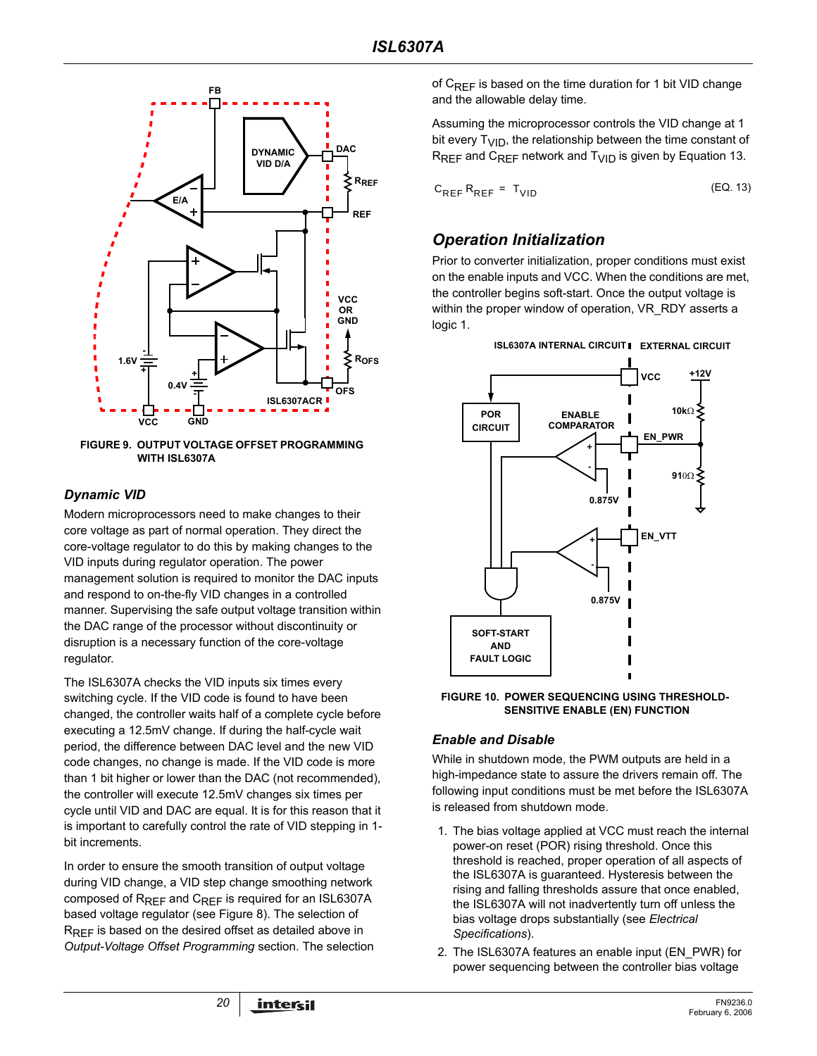

**FIGURE 9. OUTPUT VOLTAGE OFFSET PROGRAMMING WITH ISL6307A**

### *Dynamic VID*

Modern microprocessors need to make changes to their core voltage as part of normal operation. They direct the core-voltage regulator to do this by making changes to the VID inputs during regulator operation. The power management solution is required to monitor the DAC inputs and respond to on-the-fly VID changes in a controlled manner. Supervising the safe output voltage transition within the DAC range of the processor without discontinuity or disruption is a necessary function of the core-voltage regulator.

The ISL6307A checks the VID inputs six times every switching cycle. If the VID code is found to have been changed, the controller waits half of a complete cycle before executing a 12.5mV change. If during the half-cycle wait period, the difference between DAC level and the new VID code changes, no change is made. If the VID code is more than 1 bit higher or lower than the DAC (not recommended), the controller will execute 12.5mV changes six times per cycle until VID and DAC are equal. It is for this reason that it is important to carefully control the rate of VID stepping in 1 bit increments.

In order to ensure the smooth transition of output voltage during VID change, a VID step change smoothing network composed of R<sub>REF</sub> and C<sub>REF</sub> is required for an ISL6307A based voltage regulator (see Figure 8). The selection of RREF is based on the desired offset as detailed above in *Output-Voltage Offset Programming* section. The selection of  $C_{RFF}$  is based on the time duration for 1 bit VID change and the allowable delay time.

Assuming the microprocessor controls the VID change at 1 bit every  $T_{\text{VID}}$ , the relationship between the time constant of  $R_{RFF}$  and  $C_{RFF}$  network and  $T_{VID}$  is given by Equation 13.

$$
C_{REF}R_{REF} = T_{VID}
$$
 (EQ. 13)

### *Operation Initialization*

Prior to converter initialization, proper conditions must exist on the enable inputs and VCC. When the conditions are met, the controller begins soft-start. Once the output voltage is within the proper window of operation, VR\_RDY asserts a logic 1.



**FIGURE 10. POWER SEQUENCING USING THRESHOLD-SENSITIVE ENABLE (EN) FUNCTION**

### *Enable and Disable*

While in shutdown mode, the PWM outputs are held in a high-impedance state to assure the drivers remain off. The following input conditions must be met before the ISL6307A is released from shutdown mode.

- 1. The bias voltage applied at VCC must reach the internal power-on reset (POR) rising threshold. Once this threshold is reached, proper operation of all aspects of the ISL6307A is guaranteed. Hysteresis between the rising and falling thresholds assure that once enabled, the ISL6307A will not inadvertently turn off unless the bias voltage drops substantially (see *Electrical Specifications*).
- 2. The ISL6307A features an enable input (EN\_PWR) for power sequencing between the controller bias voltage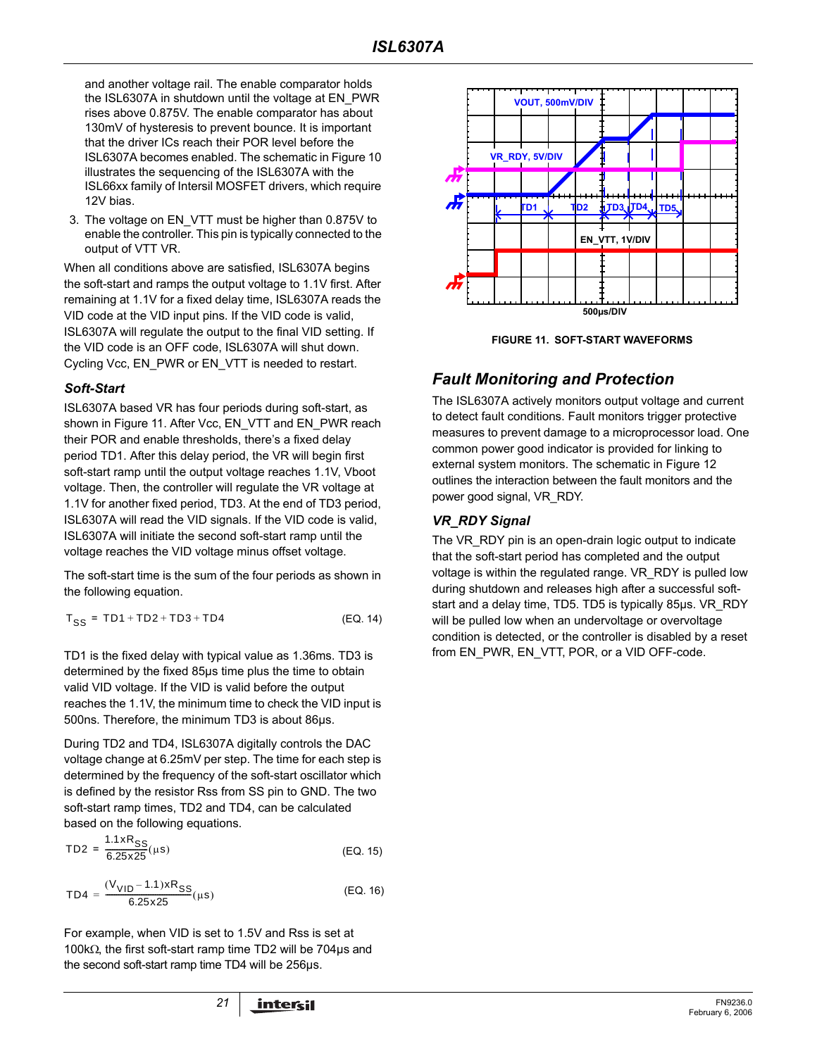and another voltage rail. The enable comparator holds the ISL6307A in shutdown until the voltage at EN\_PWR rises above 0.875V. The enable comparator has about 130mV of hysteresis to prevent bounce. It is important that the driver ICs reach their POR level before the ISL6307A becomes enabled. The schematic in Figure 10 illustrates the sequencing of the ISL6307A with the ISL66xx family of Intersil MOSFET drivers, which require 12V bias.

3. The voltage on EN\_VTT must be higher than 0.875V to enable the controller. This pin is typically connected to the output of VTT VR.

When all conditions above are satisfied, ISL6307A begins the soft-start and ramps the output voltage to 1.1V first. After remaining at 1.1V for a fixed delay time, ISL6307A reads the VID code at the VID input pins. If the VID code is valid, ISL6307A will regulate the output to the final VID setting. If the VID code is an OFF code, ISL6307A will shut down. Cycling Vcc, EN\_PWR or EN\_VTT is needed to restart.

### *Soft-Start*

ISL6307A based VR has four periods during soft-start, as shown in Figure 11. After Vcc, EN\_VTT and EN\_PWR reach their POR and enable thresholds, there's a fixed delay period TD1. After this delay period, the VR will begin first soft-start ramp until the output voltage reaches 1.1V, Vboot voltage. Then, the controller will regulate the VR voltage at 1.1V for another fixed period, TD3. At the end of TD3 period, ISL6307A will read the VID signals. If the VID code is valid, ISL6307A will initiate the second soft-start ramp until the voltage reaches the VID voltage minus offset voltage.

The soft-start time is the sum of the four periods as shown in the following equation.

$$
T_{SS} = TD1 + TD2 + TD3 + TD4
$$
 (EQ. 14)

TD1 is the fixed delay with typical value as 1.36ms. TD3 is determined by the fixed 85µs time plus the time to obtain valid VID voltage. If the VID is valid before the output reaches the 1.1V, the minimum time to check the VID input is 500ns. Therefore, the minimum TD3 is about 86µs.

During TD2 and TD4, ISL6307A digitally controls the DAC voltage change at 6.25mV per step. The time for each step is determined by the frequency of the soft-start oscillator which is defined by the resistor Rss from SS pin to GND. The two soft-start ramp times, TD2 and TD4, can be calculated based on the following equations.

$$
TD2 = \frac{1.1 \times R_{SS}}{6.25 \times 25} (\mu s)
$$
 (EQ. 15)

$$
TD4 = \frac{(V_{VID} - 1.1) \times R_{SS}}{6.25 \times 25} (\mu s)
$$
 (EQ. 16)

For example, when VID is set to 1.5V and Rss is set at 100kΩ, the first soft-start ramp time TD2 will be 704µs and the second soft-start ramp time TD4 will be 256µs.



**FIGURE 11. SOFT-START WAVEFORMS**

### *Fault Monitoring and Protection*

The ISL6307A actively monitors output voltage and current to detect fault conditions. Fault monitors trigger protective measures to prevent damage to a microprocessor load. One common power good indicator is provided for linking to external system monitors. The schematic in Figure 12 outlines the interaction between the fault monitors and the power good signal, VR\_RDY.

### *VR\_RDY Signal*

The VR\_RDY pin is an open-drain logic output to indicate that the soft-start period has completed and the output voltage is within the regulated range. VR\_RDY is pulled low during shutdown and releases high after a successful softstart and a delay time, TD5. TD5 is typically 85µs. VR\_RDY will be pulled low when an undervoltage or overvoltage condition is detected, or the controller is disabled by a reset from EN\_PWR, EN\_VTT, POR, or a VID OFF-code.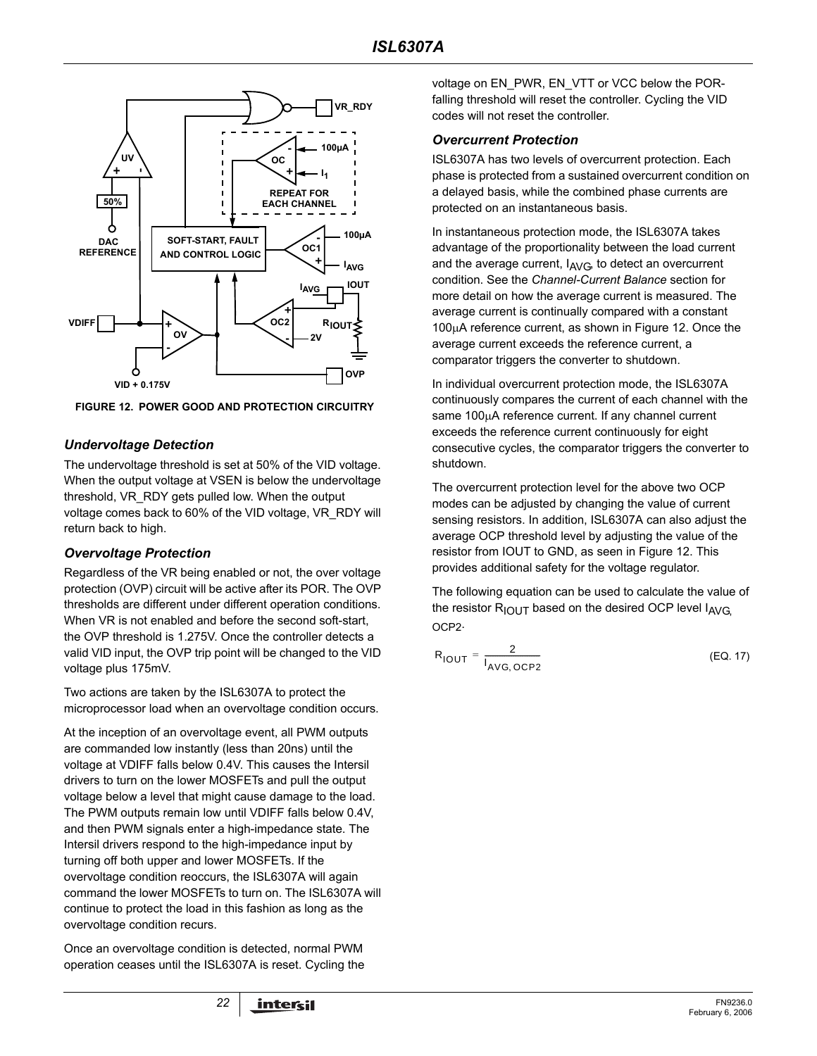

**FIGURE 12. POWER GOOD AND PROTECTION CIRCUITRY**

### *Undervoltage Detection*

The undervoltage threshold is set at 50% of the VID voltage. When the output voltage at VSEN is below the undervoltage threshold, VR\_RDY gets pulled low. When the output voltage comes back to 60% of the VID voltage, VR\_RDY will return back to high.

### *Overvoltage Protection*

Regardless of the VR being enabled or not, the over voltage protection (OVP) circuit will be active after its POR. The OVP thresholds are different under different operation conditions. When VR is not enabled and before the second soft-start. the OVP threshold is 1.275V. Once the controller detects a valid VID input, the OVP trip point will be changed to the VID voltage plus 175mV.

Two actions are taken by the ISL6307A to protect the microprocessor load when an overvoltage condition occurs.

At the inception of an overvoltage event, all PWM outputs are commanded low instantly (less than 20ns) until the voltage at VDIFF falls below 0.4V. This causes the Intersil drivers to turn on the lower MOSFETs and pull the output voltage below a level that might cause damage to the load. The PWM outputs remain low until VDIFF falls below 0.4V, and then PWM signals enter a high-impedance state. The Intersil drivers respond to the high-impedance input by turning off both upper and lower MOSFETs. If the overvoltage condition reoccurs, the ISL6307A will again command the lower MOSFETs to turn on. The ISL6307A will continue to protect the load in this fashion as long as the overvoltage condition recurs.

Once an overvoltage condition is detected, normal PWM operation ceases until the ISL6307A is reset. Cycling the voltage on EN\_PWR, EN\_VTT or VCC below the PORfalling threshold will reset the controller. Cycling the VID codes will not reset the controller.

### *Overcurrent Protection*

ISL6307A has two levels of overcurrent protection. Each phase is protected from a sustained overcurrent condition on a delayed basis, while the combined phase currents are protected on an instantaneous basis.

In instantaneous protection mode, the ISL6307A takes advantage of the proportionality between the load current and the average current,  $I_{AVG}$ , to detect an overcurrent condition. See the *Channel-Current Balance* section for more detail on how the average current is measured. The average current is continually compared with a constant 100µA reference current, as shown in Figure 12. Once the average current exceeds the reference current, a comparator triggers the converter to shutdown.

In individual overcurrent protection mode, the ISL6307A continuously compares the current of each channel with the same 100µA reference current. If any channel current exceeds the reference current continuously for eight consecutive cycles, the comparator triggers the converter to shutdown.

The overcurrent protection level for the above two OCP modes can be adjusted by changing the value of current sensing resistors. In addition, ISL6307A can also adjust the average OCP threshold level by adjusting the value of the resistor from IOUT to GND, as seen in Figure 12. This provides additional safety for the voltage regulator.

The following equation can be used to calculate the value of the resistor  $R_{\text{IOUT}}$  based on the desired OCP level  $I_{\text{AVG}}$ OCP<sub>2</sub>.

$$
R_{\text{IOUT}} = \frac{2}{I_{\text{AVG, OCP2}}} \tag{Eq. 17}
$$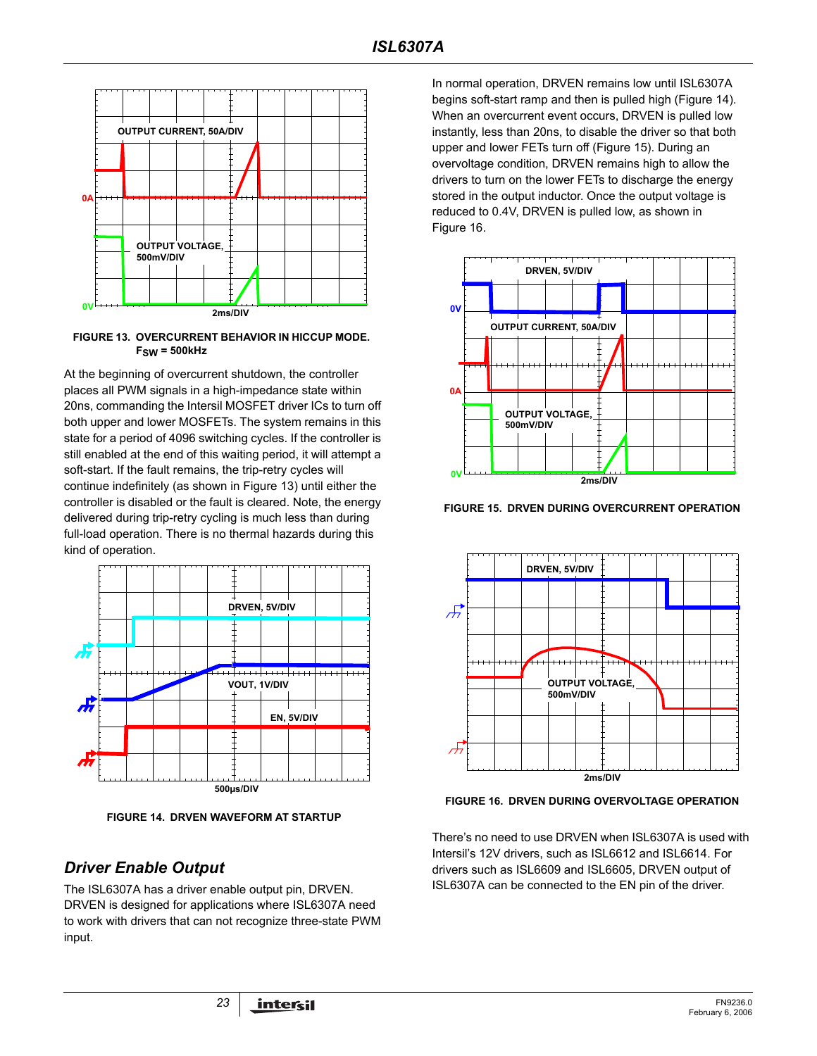

**FIGURE 13. OVERCURRENT BEHAVIOR IN HICCUP MODE. FSW = 500kHz**

At the beginning of overcurrent shutdown, the controller places all PWM signals in a high-impedance state within 20ns, commanding the Intersil MOSFET driver ICs to turn off both upper and lower MOSFETs. The system remains in this state for a period of 4096 switching cycles. If the controller is still enabled at the end of this waiting period, it will attempt a soft-start. If the fault remains, the trip-retry cycles will continue indefinitely (as shown in Figure 13) until either the controller is disabled or the fault is cleared. Note, the energy delivered during trip-retry cycling is much less than during full-load operation. There is no thermal hazards during this kind of operation.



**FIGURE 14. DRVEN WAVEFORM AT STARTUP**

### *Driver Enable Output*

The ISL6307A has a driver enable output pin, DRVEN. DRVEN is designed for applications where ISL6307A need to work with drivers that can not recognize three-state PWM input.

In normal operation, DRVEN remains low until ISL6307A begins soft-start ramp and then is pulled high (Figure 14). When an overcurrent event occurs, DRVEN is pulled low instantly, less than 20ns, to disable the driver so that both upper and lower FETs turn off (Figure 15). During an overvoltage condition, DRVEN remains high to allow the drivers to turn on the lower FETs to discharge the energy stored in the output inductor. Once the output voltage is reduced to 0.4V, DRVEN is pulled low, as shown in Figure 16.



**FIGURE 15. DRVEN DURING OVERCURRENT OPERATION**



**FIGURE 16. DRVEN DURING OVERVOLTAGE OPERATION**

There's no need to use DRVEN when ISL6307A is used with Intersil's 12V drivers, such as ISL6612 and ISL6614. For drivers such as ISL6609 and ISL6605, DRVEN output of ISL6307A can be connected to the EN pin of the driver.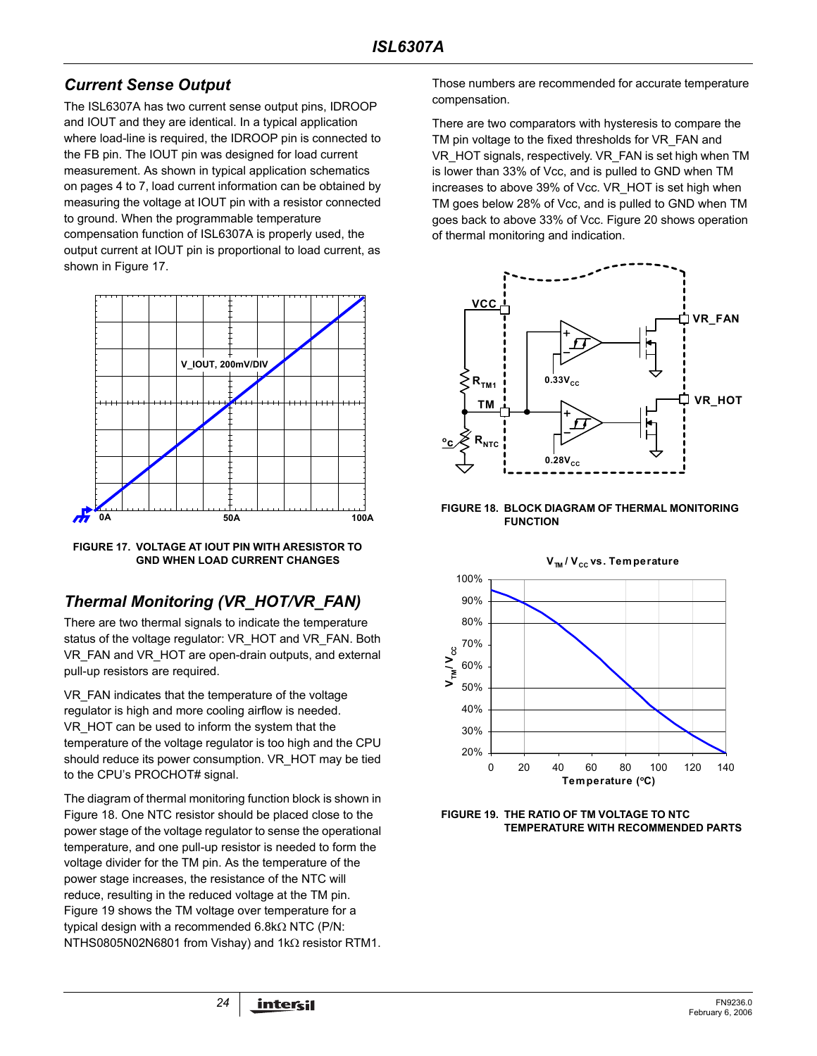### *Current Sense Output*

The ISL6307A has two current sense output pins, IDROOP and IOUT and they are identical. In a typical application where load-line is required, the IDROOP pin is connected to the FB pin. The IOUT pin was designed for load current measurement. As shown in typical application schematics on pages [4](#page-3-0) to [7](#page-6-0), load current information can be obtained by measuring the voltage at IOUT pin with a resistor connected to ground. When the programmable temperature compensation function of ISL6307A is properly used, the output current at IOUT pin is proportional to load current, as shown in Figure 17.



**FIGURE 17. VOLTAGE AT IOUT PIN WITH ARESISTOR TO GND WHEN LOAD CURRENT CHANGES**

## *Thermal Monitoring (VR\_HOT/VR\_FAN)*

There are two thermal signals to indicate the temperature status of the voltage regulator: VR\_HOT and VR\_FAN. Both VR\_FAN and VR\_HOT are open-drain outputs, and external pull-up resistors are required.

VR\_FAN indicates that the temperature of the voltage regulator is high and more cooling airflow is needed. VR\_HOT can be used to inform the system that the temperature of the voltage regulator is too high and the CPU should reduce its power consumption. VR\_HOT may be tied to the CPU's PROCHOT# signal.

The diagram of thermal monitoring function block is shown in Figure 18. One NTC resistor should be placed close to the power stage of the voltage regulator to sense the operational temperature, and one pull-up resistor is needed to form the voltage divider for the TM pin. As the temperature of the power stage increases, the resistance of the NTC will reduce, resulting in the reduced voltage at the TM pin. Figure 19 shows the TM voltage over temperature for a typical design with a recommended 6.8kΩ NTC (P/N: NTHS0805N02N6801 from Vishay) and 1kΩ resistor RTM1.

Those numbers are recommended for accurate temperature compensation.

There are two comparators with hysteresis to compare the TM pin voltage to the fixed thresholds for VR\_FAN and VR\_HOT signals, respectively. VR\_FAN is set high when TM is lower than 33% of Vcc, and is pulled to GND when TM increases to above 39% of Vcc. VR\_HOT is set high when TM goes below 28% of Vcc, and is pulled to GND when TM goes back to above 33% of Vcc. Figure 20 shows operation of thermal monitoring and indication.



**FIGURE 18. BLOCK DIAGRAM OF THERMAL MONITORING FUNCTION**



**FIGURE 19. THE RATIO OF TM VOLTAGE TO NTC TEMPERATURE WITH RECOMMENDED PARTS**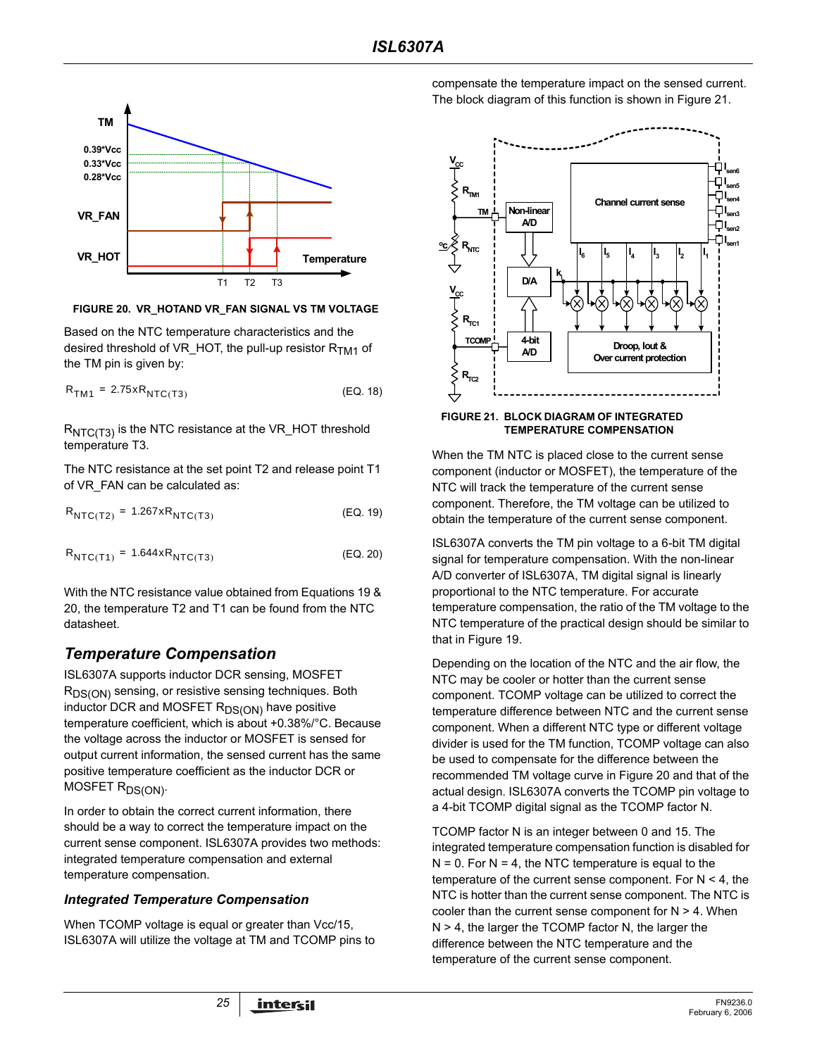

**FIGURE 20. VR\_HOTAND VR\_FAN SIGNAL VS TM VOLTAGE**

Based on the NTC temperature characteristics and the desired threshold of VR\_HOT, the pull-up resistor  $R<sub>TM1</sub>$  of the TM pin is given by:

$$
R_{TM1} = 2.75 \times R_{NTC(T3)}
$$
 (EQ. 18)

 $R_{NTC(T3)}$  is the NTC resistance at the VR\_HOT threshold temperature T3.

The NTC resistance at the set point T2 and release point T1 of VR\_FAN can be calculated as:

$$
R_{NTC(T2)} = 1.267 \times R_{NTC(T3)}
$$
 (EQ. 19)

$$
R_{NTC(T1)} = 1.644 \times R_{NTC(T3)}
$$
 (EQ. 20)

With the NTC resistance value obtained from Equations [19](#page-24-0) & [20,](#page-24-1) the temperature T2 and T1 can be found from the NTC datasheet.

## *Temperature Compensation*

ISL6307A supports inductor DCR sensing, MOSFET R<sub>DS(ON)</sub> sensing, or resistive sensing techniques. Both inductor DCR and MOSFET  $R_{DS(ON)}$  have positive temperature coefficient, which is about +0.38%/°C. Because the voltage across the inductor or MOSFET is sensed for output current information, the sensed current has the same positive temperature coefficient as the inductor DCR or MOSFET R<sub>DS(ON)</sub>.

In order to obtain the correct current information, there should be a way to correct the temperature impact on the current sense component. ISL6307A provides two methods: integrated temperature compensation and external temperature compensation.

### *Integrated Temperature Compensation*

When TCOMP voltage is equal or greater than Vcc/15, ISL6307A will utilize the voltage at TM and TCOMP pins to compensate the temperature impact on the sensed current. The block diagram of this function is shown in Figure 21.



**TEMPERATURE COMPENSATION**

When the TM NTC is placed close to the current sense component (inductor or MOSFET), the temperature of the NTC will track the temperature of the current sense component. Therefore, the TM voltage can be utilized to obtain the temperature of the current sense component.

<span id="page-24-1"></span><span id="page-24-0"></span>ISL6307A converts the TM pin voltage to a 6-bit TM digital signal for temperature compensation. With the non-linear A/D converter of ISL6307A, TM digital signal is linearly proportional to the NTC temperature. For accurate temperature compensation, the ratio of the TM voltage to the NTC temperature of the practical design should be similar to that in Figure 19.

Depending on the location of the NTC and the air flow, the NTC may be cooler or hotter than the current sense component. TCOMP voltage can be utilized to correct the temperature difference between NTC and the current sense component. When a different NTC type or different voltage divider is used for the TM function, TCOMP voltage can also be used to compensate for the difference between the recommended TM voltage curve in Figure 20 and that of the actual design. ISL6307A converts the TCOMP pin voltage to a 4-bit TCOMP digital signal as the TCOMP factor N.

TCOMP factor N is an integer between 0 and 15. The integrated temperature compensation function is disabled for  $N = 0$ . For  $N = 4$ , the NTC temperature is equal to the temperature of the current sense component. For N < 4, the NTC is hotter than the current sense component. The NTC is cooler than the current sense component for  $N > 4$ . When N > 4, the larger the TCOMP factor N, the larger the difference between the NTC temperature and the temperature of the current sense component.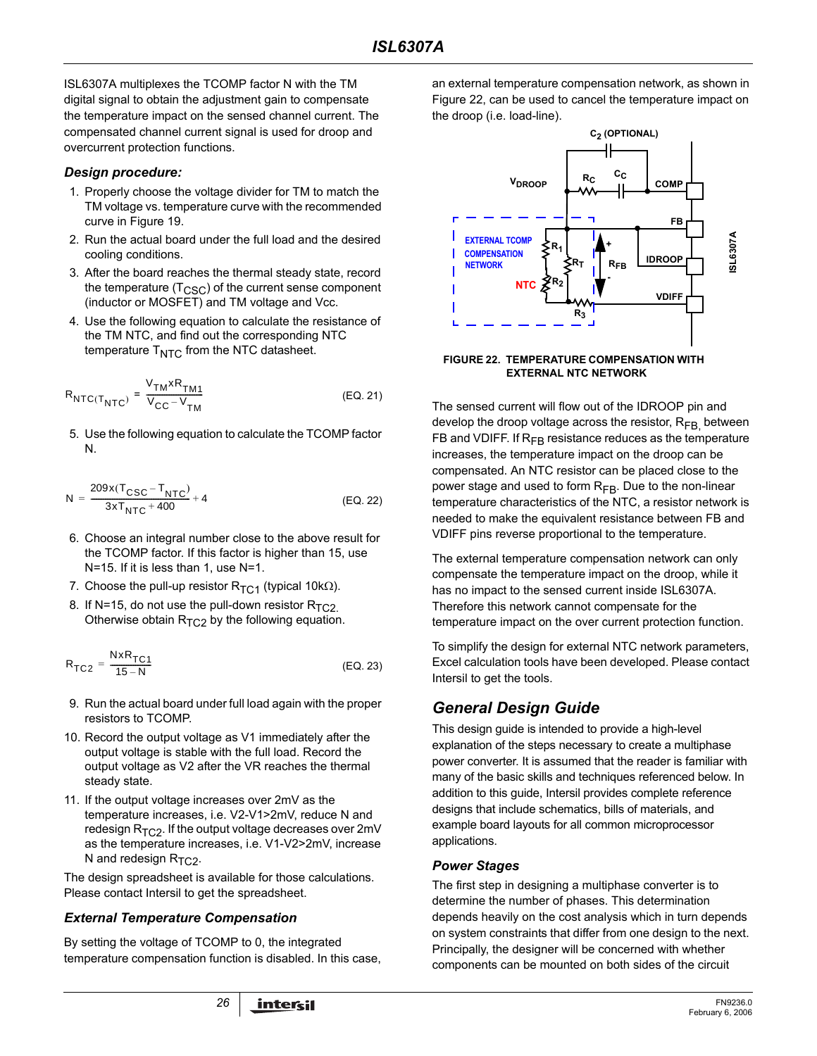ISL6307A multiplexes the TCOMP factor N with the TM digital signal to obtain the adjustment gain to compensate the temperature impact on the sensed channel current. The compensated channel current signal is used for droop and overcurrent protection functions.

#### *Design procedure:*

- 1. Properly choose the voltage divider for TM to match the TM voltage vs. temperature curve with the recommended curve in Figure 19.
- 2. Run the actual board under the full load and the desired cooling conditions.
- 3. After the board reaches the thermal steady state, record the temperature  $(T<sub>CSC</sub>)$  of the current sense component (inductor or MOSFET) and TM voltage and Vcc.
- 4. Use the following equation to calculate the resistance of the TM NTC, and find out the corresponding NTC temperature  $T<sub>NTC</sub>$  from the NTC datasheet.

$$
R_{\text{NTC}(T_{\text{NTC}})} = \frac{V_{\text{TM}} \times R_{\text{TM1}}}{V_{\text{CC}} - V_{\text{TM}}}
$$
 (EQ. 21)

5. Use the following equation to calculate the TCOMP factor N.

$$
N = \frac{209x(T_{CSC} - T_{NTC})}{3xT_{NTC} + 400} + 4
$$
 (EQ. 22)

- 6. Choose an integral number close to the above result for the TCOMP factor. If this factor is higher than 15, use N=15. If it is less than 1, use N=1.
- 7. Choose the pull-up resistor  $R_{TC1}$  (typical 10k $\Omega$ ).
- 8. If N=15, do not use the pull-down resistor  $R_{TC2}$ . Otherwise obtain  $R_{TC2}$  by the following equation.

$$
R_{TC2} = \frac{NxR_{TC1}}{15 - N}
$$
 (EQ. 23)

- 9. Run the actual board under full load again with the proper resistors to TCOMP.
- 10. Record the output voltage as V1 immediately after the output voltage is stable with the full load. Record the output voltage as V2 after the VR reaches the thermal steady state.
- 11. If the output voltage increases over 2mV as the temperature increases, i.e. V2-V1>2mV, reduce N and redesign  $R_{TC2}$ . If the output voltage decreases over 2mV as the temperature increases, i.e. V1-V2>2mV, increase N and redesign  $R_{TC2}$ .

The design spreadsheet is available for those calculations. Please contact Intersil to get the spreadsheet.

### *External Temperature Compensation*

By setting the voltage of TCOMP to 0, the integrated temperature compensation function is disabled. In this case,

an external temperature compensation network, as shown in Figure 22, can be used to cancel the temperature impact on the droop (i.e. load-line).



**FIGURE 22. TEMPERATURE COMPENSATION WITH EXTERNAL NTC NETWORK**

The sensed current will flow out of the IDROOP pin and develop the droop voltage across the resistor,  $R_{FB}$  between FB and VDIFF. If  $R_{FB}$  resistance reduces as the temperature increases, the temperature impact on the droop can be compensated. An NTC resistor can be placed close to the power stage and used to form  $R_{FB}$ . Due to the non-linear temperature characteristics of the NTC, a resistor network is needed to make the equivalent resistance between FB and VDIFF pins reverse proportional to the temperature.

The external temperature compensation network can only compensate the temperature impact on the droop, while it has no impact to the sensed current inside ISL6307A. Therefore this network cannot compensate for the temperature impact on the over current protection function.

To simplify the design for external NTC network parameters, Excel calculation tools have been developed. Please contact Intersil to get the tools.

### *General Design Guide*

This design guide is intended to provide a high-level explanation of the steps necessary to create a multiphase power converter. It is assumed that the reader is familiar with many of the basic skills and techniques referenced below. In addition to this guide, Intersil provides complete reference designs that include schematics, bills of materials, and example board layouts for all common microprocessor applications.

### *Power Stages*

The first step in designing a multiphase converter is to determine the number of phases. This determination depends heavily on the cost analysis which in turn depends on system constraints that differ from one design to the next. Principally, the designer will be concerned with whether components can be mounted on both sides of the circuit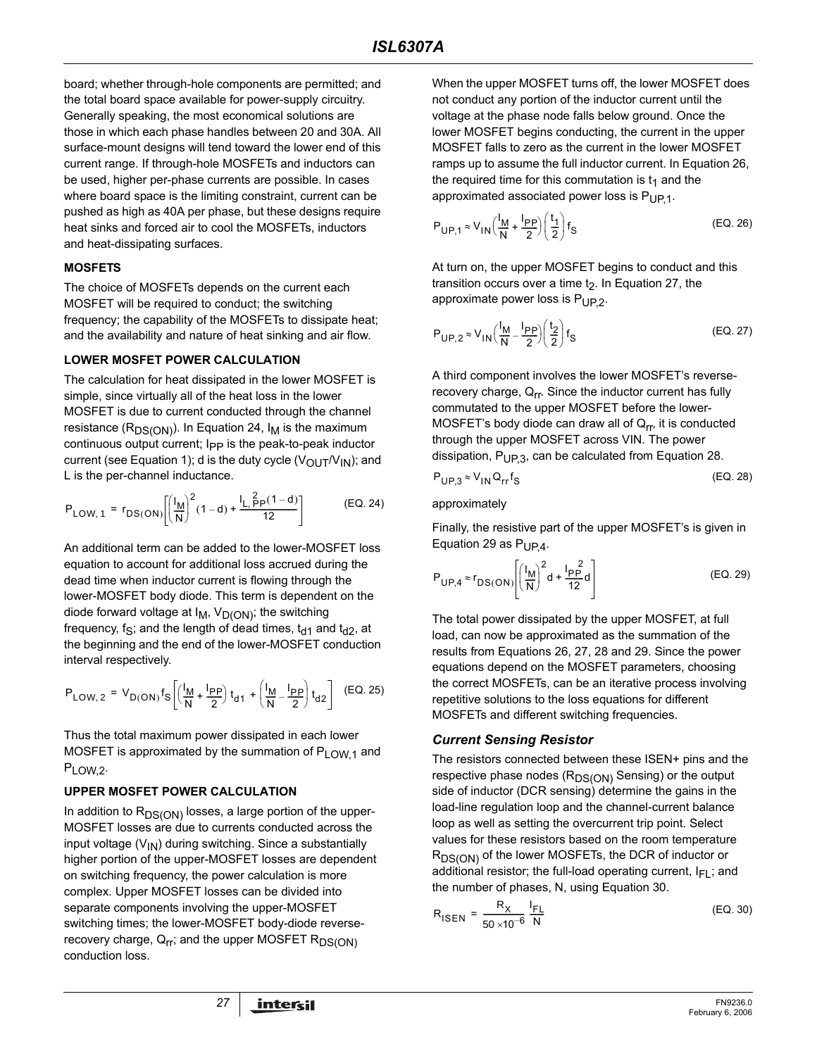board; whether through-hole components are permitted; and the total board space available for power-supply circuitry. Generally speaking, the most economical solutions are those in which each phase handles between 20 and 30A. All surface-mount designs will tend toward the lower end of this current range. If through-hole MOSFETs and inductors can be used, higher per-phase currents are possible. In cases where board space is the limiting constraint, current can be pushed as high as 40A per phase, but these designs require heat sinks and forced air to cool the MOSFETs, inductors and heat-dissipating surfaces.

#### **MOSFETS**

The choice of MOSFETs depends on the current each MOSFET will be required to conduct; the switching frequency; the capability of the MOSFETs to dissipate heat; and the availability and nature of heat sinking and air flow.

#### **LOWER MOSFET POWER CALCULATION**

The calculation for heat dissipated in the lower MOSFET is simple, since virtually all of the heat loss in the lower MOSFET is due to current conducted through the channel resistance ( $R_{DS(ON)}$ ). In Equation 24,  $I_M$  is the maximum continuous output current; I<sub>PP</sub> is the peak-to-peak inductor current (see Equation 1); d is the duty cycle ( $V_{\text{OUT}}/V_{\text{IN}}$ ); and L is the per-channel inductance.

$$
P_{LOW, 1} = r_{DS(ON)} \left[ \left( \frac{I_M}{N} \right)^2 (1 - d) + \frac{I_L}{12} \frac{2}{12} p(1 - d) \right] \tag{EQ. 24}
$$

An additional term can be added to the lower-MOSFET loss equation to account for additional loss accrued during the dead time when inductor current is flowing through the lower-MOSFET body diode. This term is dependent on the diode forward voltage at  $I_M$ ,  $V_{D(ON)}$ ; the switching frequency, f<sub>S</sub>; and the length of dead times,  $t_{d1}$  and  $t_{d2}$ , at the beginning and the end of the lower-MOSFET conduction interval respectively.

$$
P_{LOW, 2} = V_{D(ON)} f_S \left[ \left( \frac{l_M}{N} + \frac{l_{PP}}{2} \right) t_{d1} + \left( \frac{l_M}{N} - \frac{l_{PP}}{2} \right) t_{d2} \right] (EQ. 25)
$$

Thus the total maximum power dissipated in each lower MOSFET is approximated by the summation of  $P_{LOW,1}$  and PLOW,2.

### **UPPER MOSFET POWER CALCULATION**

In addition to  $R_{DS(ON)}$  losses, a large portion of the upper-MOSFET losses are due to currents conducted across the input voltage  $(V_{1N})$  during switching. Since a substantially higher portion of the upper-MOSFET losses are dependent on switching frequency, the power calculation is more complex. Upper MOSFET losses can be divided into separate components involving the upper-MOSFET switching times; the lower-MOSFET body-diode reverserecovery charge,  $Q_{rr}$ ; and the upper MOSFET  $R_{DS(ON)}$ conduction loss.

When the upper MOSFET turns off, the lower MOSFET does not conduct any portion of the inductor current until the voltage at the phase node falls below ground. Once the lower MOSFET begins conducting, the current in the upper MOSFET falls to zero as the current in the lower MOSFET ramps up to assume the full inductor current. In Equation 26, the required time for this commutation is  $t_1$  and the approximated associated power loss is  $P_{UP}$ 1.

$$
P_{\text{UP},1} \approx V_{\text{IN}} \left( \frac{I_{\text{M}}}{N} + \frac{I_{\text{PP}}}{2} \right) \left( \frac{t_1}{2} \right) f_{\text{S}}
$$
 (EQ. 26)

At turn on, the upper MOSFET begins to conduct and this transition occurs over a time  $t<sub>2</sub>$ . In Equation 27, the approximate power loss is  $P_{UP,2}$ .

$$
P_{\text{UP},2} \approx V_{\text{IN}} \left(\frac{I_{\text{M}}}{\text{N}} - \frac{I_{\text{PP}}}{2}\right) \left(\frac{t_2}{2}\right) f_{\text{S}}
$$
 (EQ. 27)

A third component involves the lower MOSFET's reverserecovery charge,  $Q_{rr}$ . Since the inductor current has fully commutated to the upper MOSFET before the lower-MOSFET's body diode can draw all of  $Q_{\text{rr}}$ , it is conducted through the upper MOSFET across VIN. The power dissipation,  $P_{UP3}$ , can be calculated from Equation 28.

$$
P_{\text{UP},3} \approx V_{\text{IN}} Q_{\text{rr}} f_{\text{S}} \tag{Eq. 28}
$$

#### approximately

Finally, the resistive part of the upper MOSFET's is given in Equation 29 as  $P_{UP4}$ .

$$
P_{UP,4} \approx r_{DS(ON)} \left[ \left( \frac{I_M}{N} \right)^2 d + \frac{I_{PP}^2}{12} d \right]
$$
 (EQ. 29)

The total power dissipated by the upper MOSFET, at full load, can now be approximated as the summation of the results from Equations 26, 27, 28 and 29. Since the power equations depend on the MOSFET parameters, choosing the correct MOSFETs, can be an iterative process involving repetitive solutions to the loss equations for different MOSFETs and different switching frequencies.

#### *Current Sensing Resistor*

The resistors connected between these ISEN+ pins and the respective phase nodes  $(R_{DS(ON)}$  Sensing) or the output side of inductor (DCR sensing) determine the gains in the load-line regulation loop and the channel-current balance loop as well as setting the overcurrent trip point. Select values for these resistors based on the room temperature  $R_{DS(ON)}$  of the lower MOSFETs, the DCR of inductor or additional resistor; the full-load operating current,  $I_{FL}$ ; and the number of phases, N, using Equation 30.

$$
R_{\text{ISEN}} = \frac{R_X}{50 \times 10^{-6}} \frac{I_{\text{FL}}}{N}
$$
 (EQ. 30)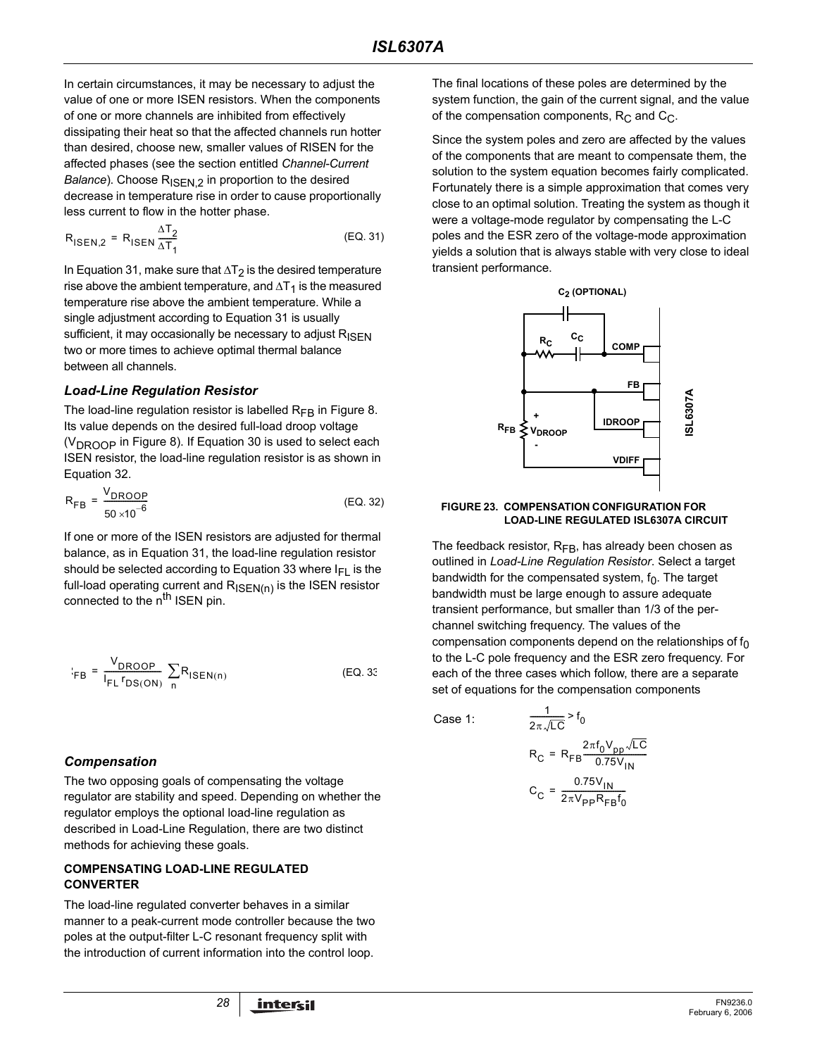In certain circumstances, it may be necessary to adjust the value of one or more ISEN resistors. When the components of one or more channels are inhibited from effectively dissipating their heat so that the affected channels run hotter than desired, choose new, smaller values of RISEN for the affected phases (see the section entitled *[Channel-Current](#page-14-0)  [Balance](#page-14-0)*). Choose R<sub>ISEN.2</sub> in proportion to the desired decrease in temperature rise in order to cause proportionally less current to flow in the hotter phase.

$$
R_{\text{ISEN},2} = R_{\text{ISEN}} \frac{\Delta T_2}{\Delta T_1}
$$
 (EQ. 31)

In Equation 31, make sure that ∆T<sub>2</sub> is the desired temperature rise above the ambient temperature, and  $\Delta T_1$  is the measured temperature rise above the ambient temperature. While a single adjustment according to Equation 31 is usually sufficient, it may occasionally be necessary to adjust  $R_{\text{ISEN}}$ two or more times to achieve optimal thermal balance between all channels.

### *Load-Line Regulation Resistor*

The load-line regulation resistor is labelled  $R_{FB}$  in Figure 8. Its value depends on the desired full-load droop voltage  $(V<sub>DROOP</sub>$  in Figure 8). If Equation 30 is used to select each ISEN resistor, the load-line regulation resistor is as shown in Equation 32.

$$
R_{FB} = \frac{V_{DROOP}}{50 \times 10^{-6}}
$$
 (EQ. 32)

If one or more of the ISEN resistors are adjusted for thermal balance, as in Equation 31, the load-line regulation resistor should be selected according to Equation 33 where  $I_{FI}$  is the full-load operating current and R<sub>ISEN(n)</sub> is the ISEN resistor connected to the n<sup>th</sup> ISEN pin.

$$
E_{FB} = \frac{V_{DROOP}}{I_{FL} r_{DS(ON)}} \sum_{n} R_{ISEN(n)}
$$
 (EQ. 33)

### *Compensation*

The two opposing goals of compensating the voltage regulator are stability and speed. Depending on whether the regulator employs the optional load-line regulation as described in Load-Line Regulation, there are two distinct methods for achieving these goals.

### **COMPENSATING LOAD-LINE REGULATED CONVERTER**

The load-line regulated converter behaves in a similar manner to a peak-current mode controller because the two poles at the output-filter L-C resonant frequency split with the introduction of current information into the control loop.

The final locations of these poles are determined by the system function, the gain of the current signal, and the value of the compensation components,  $R_C$  and  $C_C$ .

Since the system poles and zero are affected by the values of the components that are meant to compensate them, the solution to the system equation becomes fairly complicated. Fortunately there is a simple approximation that comes very close to an optimal solution. Treating the system as though it were a voltage-mode regulator by compensating the L-C poles and the ESR zero of the voltage-mode approximation yields a solution that is always stable with very close to ideal transient performance.



# **FIGURE 23. COMPENSATION CONFIGURATION FOR**

The feedback resistor,  $R_{FB}$ , has already been chosen as outlined in *Load-Line Regulation Resistor*. Select a target bandwidth for the compensated system,  $f_0$ . The target bandwidth must be large enough to assure adequate transient performance, but smaller than 1/3 of the perchannel switching frequency. The values of the compensation components depend on the relationships of  $f_0$ to the L-C pole frequency and the ESR zero frequency. For each of the three cases which follow, there are a separate set of equations for the compensation components

Case 1:

$$
\frac{1}{2\pi\sqrt{LC}} > f_0
$$
  
R<sub>C</sub> = R<sub>FB</sub>
$$
\frac{2\pi f_0 V_{pp} \sqrt{LC}}{0.75 V_{IN}}
$$
  
C<sub>C</sub> = 
$$
\frac{0.75 V_{IN}}{2\pi V_{pp} R_{FB} f_0}
$$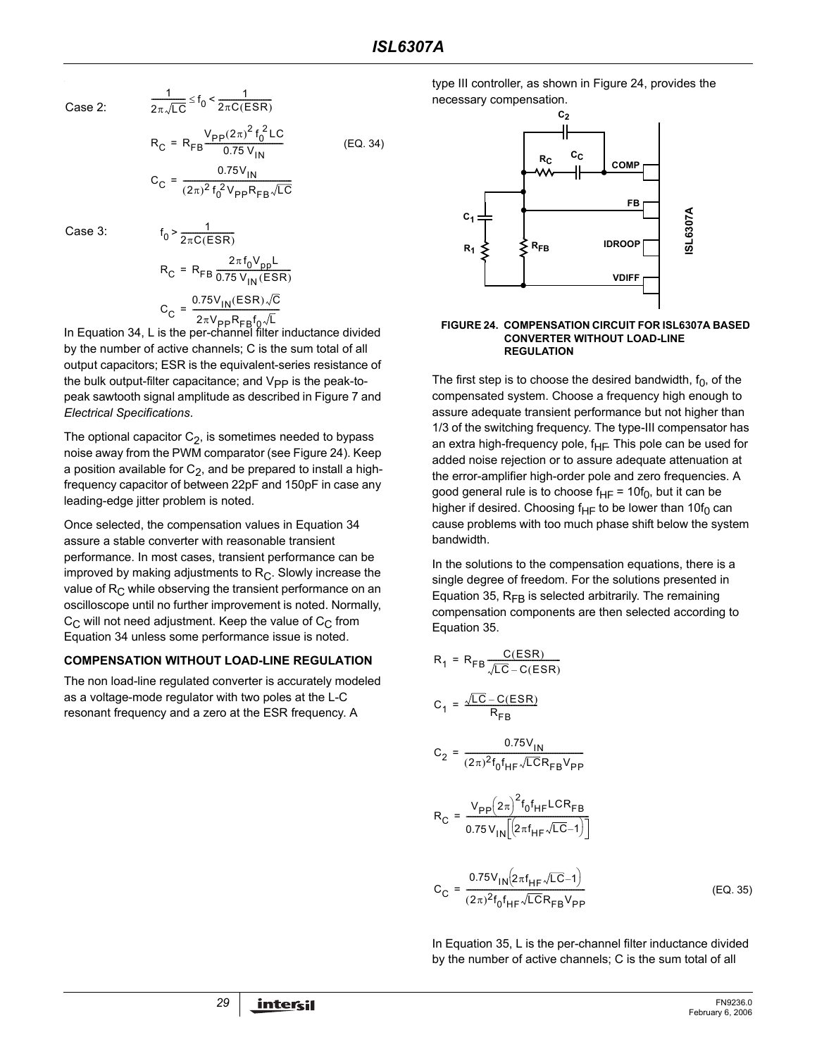Case 2:

$$
\frac{1}{2\pi\sqrt{LC}} \leq f_0 < \frac{1}{2\pi C(ESR)}
$$

<span id="page-28-0"></span>(EQ. 34)

$$
R_C = R_{FB} \frac{P_{T0.75} V_{IN}}{0.75 V_{IN}}
$$

$$
C_C = \frac{0.75 V_{IN}}{(2\pi)^2 f_0^2 V_{PP} R_{FB} \sqrt{LC}}
$$

 $R_C = R_{FB} \frac{V_{PP}(2\pi)^2 f_0^2 LC}{0.75 V_{\odot}}$ 

Case 3:

$$
f_0 > \frac{1}{2\pi C(ESR)}
$$
  
\n
$$
R_C = R_{FB} \frac{2\pi f_0 V_{pp}L}{0.75 V_{IN}(ESR)}
$$
  
\n
$$
C_C = \frac{0.75 V_{IN}(ESR)\sqrt{C}}{2\pi V_{pp}R_{FB}f_0\sqrt{L}}
$$

In Equation 34, L is the per-channel filter inductance divided In Equation 34, L is the per-channel filter inductance divided by the number of active channels; C is the sum total of all output capacitors; ESR is the equivalent-series resistance of the bulk output-filter capacitance; and  $V_{PP}$  is the peak-topeak sawtooth signal amplitude as described in Figure [7](#page-15-0) and *Electrical Specifications*.

The optional capacitor  $C_2$ , is sometimes needed to bypass noise away from the PWM comparator (see Figure 24). Keep a position available for  $C_2$ , and be prepared to install a highfrequency capacitor of between 22pF and 150pF in case any leading-edge jitter problem is noted.

Once selected, the compensation values in Equation [34](#page-28-0)  assure a stable converter with reasonable transient performance. In most cases, transient performance can be improved by making adjustments to  $R<sub>C</sub>$ . Slowly increase the value of  $R<sub>C</sub>$  while observing the transient performance on an oscilloscope until no further improvement is noted. Normally,  $C_{\text{C}}$  will not need adjustment. Keep the value of  $C_{\text{C}}$  from Equation [34](#page-28-0) unless some performance issue is noted.

#### **COMPENSATION WITHOUT LOAD-LINE REGULATION**

The non load-line regulated converter is accurately modeled as a voltage-mode regulator with two poles at the L-C resonant frequency and a zero at the ESR frequency. A

type III controller, as shown in Figure 24, provides the necessary compensation.



#### **FIGURE 24. COMPENSATION CIRCUIT FOR ISL6307A BASED CONVERTER WITHOUT LOAD-LINE REGULATION**

The first step is to choose the desired bandwidth,  $f_0$ , of the compensated system. Choose a frequency high enough to assure adequate transient performance but not higher than 1/3 of the switching frequency. The type-III compensator has an extra high-frequency pole, f<sub>HF</sub>. This pole can be used for added noise rejection or to assure adequate attenuation at the error-amplifier high-order pole and zero frequencies. A good general rule is to choose  $f_{HF} = 10f_0$ , but it can be higher if desired. Choosing f<sub>HF</sub> to be lower than 10f<sub>0</sub> can cause problems with too much phase shift below the system bandwidth.

In the solutions to the compensation equations, there is a single degree of freedom. For the solutions presented in Equation 35,  $R_{FB}$  is selected arbitrarily. The remaining compensation components are then selected according to Equation 35.

 $\sim$   $\sim$   $\sim$ 

$$
R_{1} = R_{FB} \frac{C(ESR)}{\sqrt{LC} - C(ESR)}
$$
  
\n
$$
C_{1} = \frac{\sqrt{LC} - C(ESR)}{R_{FB}}
$$
  
\n
$$
C_{2} = \frac{0.75V_{IN}}{(2\pi)^{2} f_{0} f_{HF} \sqrt{LCR_{FB}} V_{PP}}
$$
  
\n
$$
R_{C} = \frac{V_{PP}(2\pi)^{2} f_{0} f_{HF} C R_{FB}}{0.75 V_{IN} [(2\pi f_{HF} \sqrt{LC} - 1)]}
$$
  
\n
$$
C_{C} = \frac{0.75V_{IN}(2\pi f_{HF} \sqrt{LC} - 1)}{(2\pi)^{2} f_{0} f_{HF} \sqrt{LCR_{FB}} V_{PP}}
$$
  
\n(EQ. 35)

In Equation 35, L is the per-channel filter inductance divided by the number of active channels; C is the sum total of all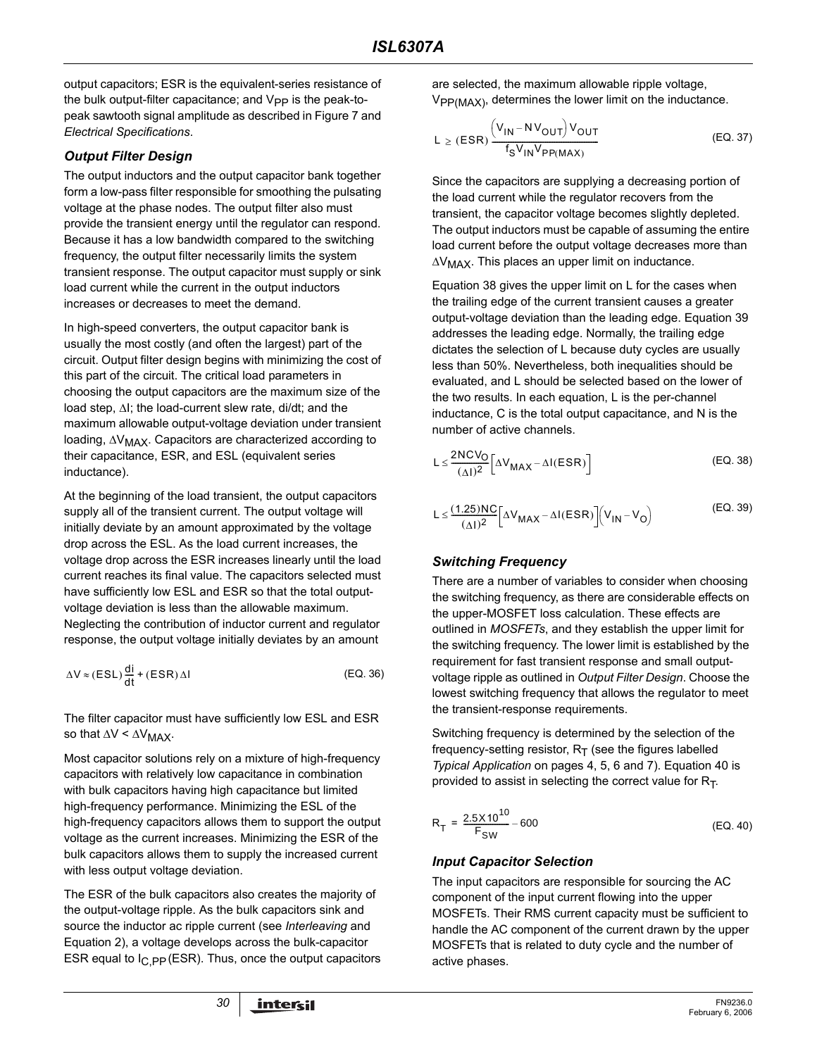output capacitors; ESR is the equivalent-series resistance of the bulk output-filter capacitance; and  $V_{PP}$  is the peak-topeak sawtooth signal amplitude as described in Figure 7 and *Electrical Specifications*.

### *Output Filter Design*

The output inductors and the output capacitor bank together form a low-pass filter responsible for smoothing the pulsating voltage at the phase nodes. The output filter also must provide the transient energy until the regulator can respond. Because it has a low bandwidth compared to the switching frequency, the output filter necessarily limits the system transient response. The output capacitor must supply or sink load current while the current in the output inductors increases or decreases to meet the demand.

In high-speed converters, the output capacitor bank is usually the most costly (and often the largest) part of the circuit. Output filter design begins with minimizing the cost of this part of the circuit. The critical load parameters in choosing the output capacitors are the maximum size of the load step, ∆I; the load-current slew rate, di/dt; and the maximum allowable output-voltage deviation under transient loading, ∆V<sub>MAX</sub>. Capacitors are characterized according to their capacitance, ESR, and ESL (equivalent series inductance).

At the beginning of the load transient, the output capacitors supply all of the transient current. The output voltage will initially deviate by an amount approximated by the voltage drop across the ESL. As the load current increases, the voltage drop across the ESR increases linearly until the load current reaches its final value. The capacitors selected must have sufficiently low ESL and ESR so that the total outputvoltage deviation is less than the allowable maximum. Neglecting the contribution of inductor current and regulator response, the output voltage initially deviates by an amount

$$
\Delta V \approx (ESL)\frac{di}{dt} + (ESR)\Delta I \tag{EQ.36}
$$

The filter capacitor must have sufficiently low ESL and ESR so that  $\Delta V < \Delta V_{MAX}$ .

Most capacitor solutions rely on a mixture of high-frequency capacitors with relatively low capacitance in combination with bulk capacitors having high capacitance but limited high-frequency performance. Minimizing the ESL of the high-frequency capacitors allows them to support the output voltage as the current increases. Minimizing the ESR of the bulk capacitors allows them to supply the increased current with less output voltage deviation.

The ESR of the bulk capacitors also creates the majority of the output-voltage ripple. As the bulk capacitors sink and source the inductor ac ripple current (see *Interleaving* and Equation 2), a voltage develops across the bulk-capacitor ESR equal to  $I_{C,PP}$  (ESR). Thus, once the output capacitors are selected, the maximum allowable ripple voltage,  $V_{PP(MAX)}$ , determines the lower limit on the inductance.

$$
L \ge (ESR) \frac{\left(V_{IN} - NV_{OUT}\right)V_{OUT}}{f_S V_{IN} V_{PP(MAX)}}
$$
 (EQ. 37)

Since the capacitors are supplying a decreasing portion of the load current while the regulator recovers from the transient, the capacitor voltage becomes slightly depleted. The output inductors must be capable of assuming the entire load current before the output voltage decreases more than ∆V<sub>MAX</sub>. This places an upper limit on inductance.

Equation 38 gives the upper limit on L for the cases when the trailing edge of the current transient causes a greater output-voltage deviation than the leading edge. Equation 39 addresses the leading edge. Normally, the trailing edge dictates the selection of L because duty cycles are usually less than 50%. Nevertheless, both inequalities should be evaluated, and L should be selected based on the lower of the two results. In each equation, L is the per-channel inductance, C is the total output capacitance, and N is the number of active channels.

$$
L \leq \frac{2NCV_O}{(\Delta I)^2} \left[ \Delta V_{MAX} - \Delta I(ESR) \right]
$$
 (EQ. 38)

$$
L \leq \frac{(1.25)NC}{(\Delta I)^2} \Big[ \Delta V_{MAX} - \Delta I(ESR) \Big] \Big( V_{IN} - V_O \Big)
$$
 (EQ. 39)

### *Switching Frequency*

There are a number of variables to consider when choosing the switching frequency, as there are considerable effects on the upper-MOSFET loss calculation. These effects are outlined in *MOSFETs*, and they establish the upper limit for the switching frequency. The lower limit is established by the requirement for fast transient response and small outputvoltage ripple as outlined in *Output Filter Design*. Choose the lowest switching frequency that allows the regulator to meet the transient-response requirements.

Switching frequency is determined by the selection of the frequency-setting resistor,  $R_T$  (see the figures labelled *Typical Application* on pages [4](#page-3-0), [5](#page-4-0), [6](#page-5-0) and [7](#page-6-0)). Equation 40 is provided to assist in selecting the correct value for  $R_T$ .

$$
R_T = \frac{2.5 \times 10^{10}}{F_{SW}} - 600
$$
 (EQ. 40)

### *Input Capacitor Selection*

The input capacitors are responsible for sourcing the AC component of the input current flowing into the upper MOSFETs. Their RMS current capacity must be sufficient to handle the AC component of the current drawn by the upper MOSFETs that is related to duty cycle and the number of active phases.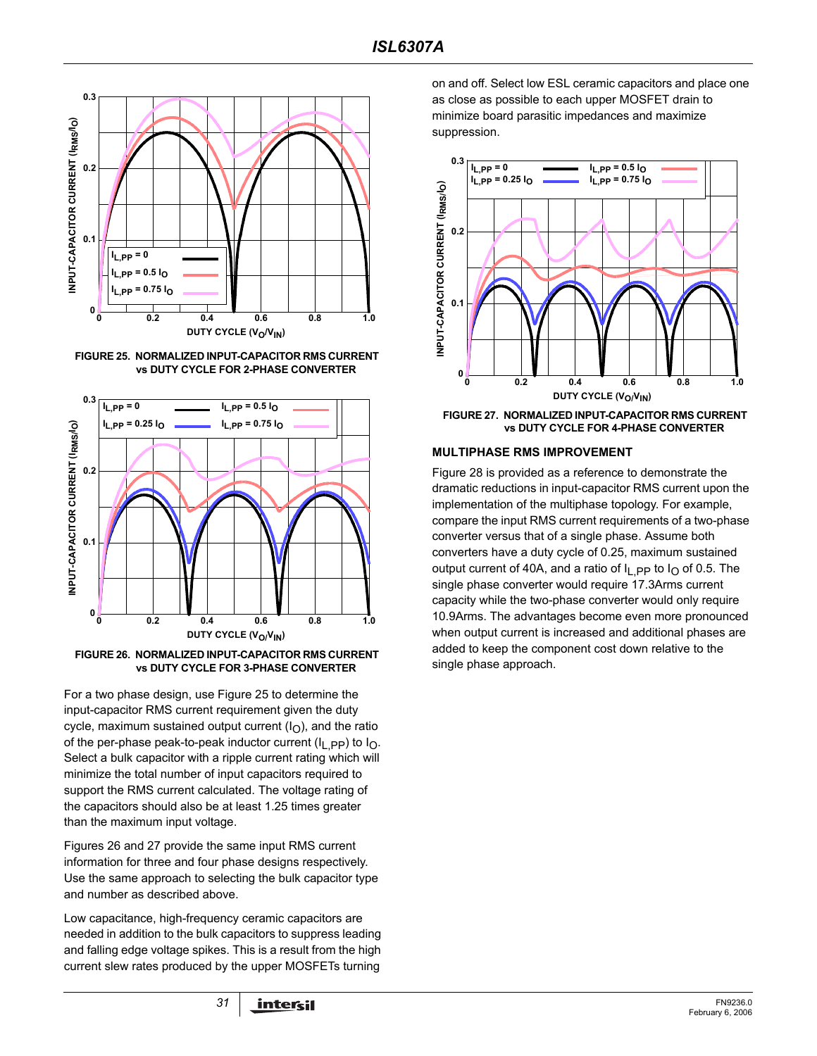

**FIGURE 25. NORMALIZED INPUT-CAPACITOR RMS CURRENT vs DUTY CYCLE FOR 2-PHASE CONVERTER**



**vs DUTY CYCLE FOR 3-PHASE CONVERTER**

For a two phase design, use Figure 25 to determine the input-capacitor RMS current requirement given the duty cycle, maximum sustained output current  $(I<sub>O</sub>)$ , and the ratio of the per-phase peak-to-peak inductor current ( $I_{\text{L}}$  pp) to  $I_{\text{O}}$ . Select a bulk capacitor with a ripple current rating which will minimize the total number of input capacitors required to support the RMS current calculated. The voltage rating of the capacitors should also be at least 1.25 times greater than the maximum input voltage.

Figures 26 and 27 provide the same input RMS current information for three and four phase designs respectively. Use the same approach to selecting the bulk capacitor type and number as described above.

Low capacitance, high-frequency ceramic capacitors are needed in addition to the bulk capacitors to suppress leading and falling edge voltage spikes. This is a result from the high current slew rates produced by the upper MOSFETs turning

on and off. Select low ESL ceramic capacitors and place one as close as possible to each upper MOSFET drain to minimize board parasitic impedances and maximize suppression.



**FIGURE 27. NORMALIZED INPUT-CAPACITOR RMS CURRENT vs DUTY CYCLE FOR 4-PHASE CONVERTER**

#### **MULTIPHASE RMS IMPROVEMENT**

Figure 28 is provided as a reference to demonstrate the dramatic reductions in input-capacitor RMS current upon the implementation of the multiphase topology. For example, compare the input RMS current requirements of a two-phase converter versus that of a single phase. Assume both converters have a duty cycle of 0.25, maximum sustained output current of 40A, and a ratio of  $I_{LPP}$  to  $I_{O}$  of 0.5. The single phase converter would require 17.3Arms current capacity while the two-phase converter would only require 10.9Arms. The advantages become even more pronounced when output current is increased and additional phases are added to keep the component cost down relative to the single phase approach.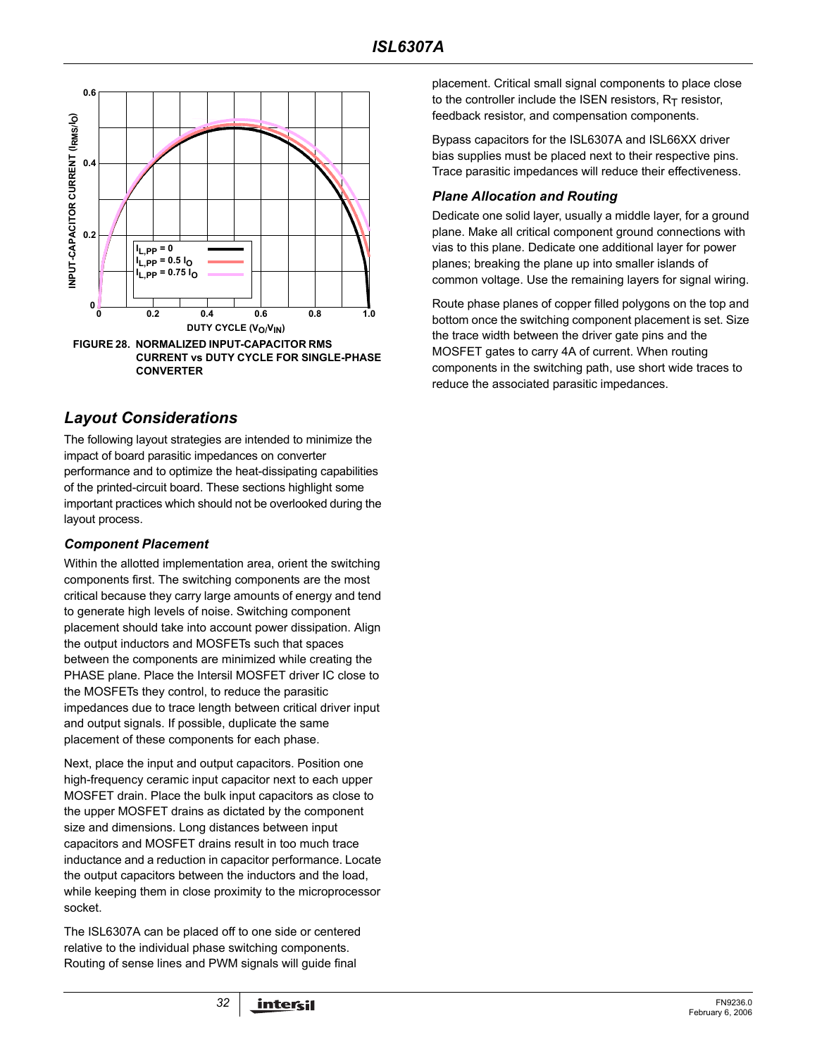

### *Layout Considerations*

The following layout strategies are intended to minimize the impact of board parasitic impedances on converter performance and to optimize the heat-dissipating capabilities of the printed-circuit board. These sections highlight some important practices which should not be overlooked during the layout process.

### *Component Placement*

Within the allotted implementation area, orient the switching components first. The switching components are the most critical because they carry large amounts of energy and tend to generate high levels of noise. Switching component placement should take into account power dissipation. Align the output inductors and MOSFETs such that spaces between the components are minimized while creating the PHASE plane. Place the Intersil MOSFET driver IC close to the MOSFETs they control, to reduce the parasitic impedances due to trace length between critical driver input and output signals. If possible, duplicate the same placement of these components for each phase.

Next, place the input and output capacitors. Position one high-frequency ceramic input capacitor next to each upper MOSFET drain. Place the bulk input capacitors as close to the upper MOSFET drains as dictated by the component size and dimensions. Long distances between input capacitors and MOSFET drains result in too much trace inductance and a reduction in capacitor performance. Locate the output capacitors between the inductors and the load, while keeping them in close proximity to the microprocessor socket.

The ISL6307A can be placed off to one side or centered relative to the individual phase switching components. Routing of sense lines and PWM signals will guide final

placement. Critical small signal components to place close to the controller include the ISEN resistors,  $R_T$  resistor, feedback resistor, and compensation components.

Bypass capacitors for the ISL6307A and ISL66XX driver bias supplies must be placed next to their respective pins. Trace parasitic impedances will reduce their effectiveness.

### *Plane Allocation and Routing*

Dedicate one solid layer, usually a middle layer, for a ground plane. Make all critical component ground connections with vias to this plane. Dedicate one additional layer for power planes; breaking the plane up into smaller islands of common voltage. Use the remaining layers for signal wiring.

Route phase planes of copper filled polygons on the top and bottom once the switching component placement is set. Size the trace width between the driver gate pins and the MOSFET gates to carry 4A of current. When routing components in the switching path, use short wide traces to reduce the associated parasitic impedances.